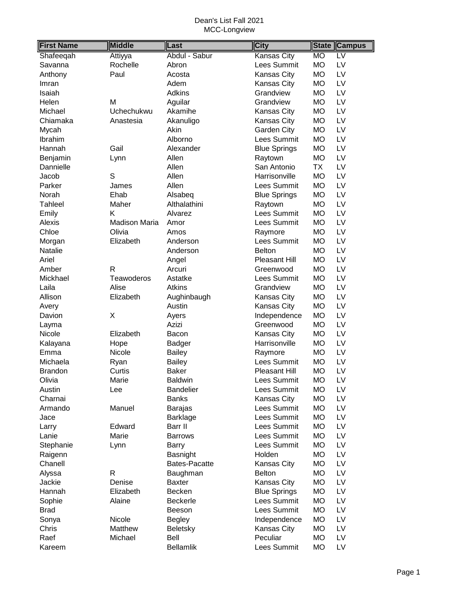| <b>First Name</b> | <b>Middle</b>        | Last             | <b>City</b>         | <b>State</b> | <b>Campus</b>            |
|-------------------|----------------------|------------------|---------------------|--------------|--------------------------|
| Shafeeqah         | Attiyya              | Abdul - Sabur    | Kansas City         | <b>MO</b>    | $\overline{\mathsf{LV}}$ |
| Savanna           | Rochelle             | Abron            | Lees Summit         | <b>MO</b>    | LV                       |
| Anthony           | Paul                 | Acosta           | Kansas City         | <b>MO</b>    | LV                       |
| Imran             |                      | Adem             | Kansas City         | <b>MO</b>    | LV                       |
| Isaiah            |                      | <b>Adkins</b>    | Grandview           | <b>MO</b>    | LV                       |
| Helen             | M                    | Aguilar          | Grandview           | <b>MO</b>    | LV                       |
| Michael           | Uchechukwu           | Akamihe          | Kansas City         | <b>MO</b>    | LV                       |
| Chiamaka          | Anastesia            | Akanuligo        | Kansas City         | <b>MO</b>    | LV                       |
| Mycah             |                      | Akin             | Garden City         | <b>MO</b>    | LV                       |
| Ibrahim           |                      | Alborno          | Lees Summit         | <b>MO</b>    | LV                       |
| Hannah            | Gail                 | Alexander        | <b>Blue Springs</b> | <b>MO</b>    | LV                       |
| Benjamin          | Lynn                 | Allen            | Raytown             | <b>MO</b>    | LV                       |
| Dannielle         |                      | Allen            | San Antonio         | <b>TX</b>    | LV                       |
| Jacob             | S                    | Allen            | Harrisonville       | <b>MO</b>    | LV                       |
| Parker            | James                | Allen            | Lees Summit         | <b>MO</b>    | LV                       |
| Norah             | Ehab                 | Alsabeq          | <b>Blue Springs</b> | <b>MO</b>    | LV                       |
| <b>Tahleel</b>    | Maher                | Althalathini     | Raytown             | <b>MO</b>    | LV                       |
| Emily             | K                    | Alvarez          | Lees Summit         | <b>MO</b>    | LV                       |
| Alexis            | <b>Madison Maria</b> | Amor             | Lees Summit         | <b>MO</b>    | LV                       |
| Chloe             | Olivia               | Amos             | Raymore             | <b>MO</b>    | LV                       |
| Morgan            | Elizabeth            | Anderson         | <b>Lees Summit</b>  | <b>MO</b>    | LV                       |
| Natalie           |                      | Anderson         | <b>Belton</b>       | <b>MO</b>    | LV                       |
| Ariel             |                      | Angel            | Pleasant Hill       | <b>MO</b>    | LV                       |
| Amber             | R                    | Arcuri           | Greenwood           | <b>MO</b>    | LV                       |
| Mickhael          | Teawoderos           | Astatke          | Lees Summit         | <b>MO</b>    | LV                       |
| Laila             | Alise                | Atkins           | Grandview           | <b>MO</b>    | LV                       |
| Allison           | Elizabeth            | Aughinbaugh      | Kansas City         | <b>MO</b>    | LV                       |
| Avery             |                      | Austin           | Kansas City         | <b>MO</b>    | LV                       |
| Davion            | X                    | Ayers            | Independence        | <b>MO</b>    | LV                       |
| Layma             |                      | Azizi            | Greenwood           | <b>MO</b>    | LV                       |
| Nicole            | Elizabeth            | Bacon            | Kansas City         | <b>MO</b>    | LV                       |
| Kalayana          | Hope                 | <b>Badger</b>    | Harrisonville       | <b>MO</b>    | LV                       |
| Emma              | Nicole               | <b>Bailey</b>    | Raymore             | <b>MO</b>    | LV                       |
| Michaela          | Ryan                 | <b>Bailey</b>    | Lees Summit         | <b>MO</b>    | LV                       |
| <b>Brandon</b>    | Curtis               | <b>Baker</b>     | Pleasant Hill       | <b>MO</b>    | LV                       |
| Olivia            | Marie                | <b>Baldwin</b>   | Lees Summit         | МO           | LV                       |
| Austin            | Lee                  | <b>Bandelier</b> | Lees Summit         | MO           | LV                       |
| Charnai           |                      | <b>Banks</b>     | Kansas City         | <b>MO</b>    | LV                       |
| Armando           | Manuel               | <b>Barajas</b>   | Lees Summit         | <b>MO</b>    | LV                       |
| Jace              |                      | Barklage         | Lees Summit         | <b>MO</b>    | LV                       |
| Larry             | Edward               | Barr II          | Lees Summit         | <b>MO</b>    | LV                       |
| Lanie             | Marie                | <b>Barrows</b>   | Lees Summit         | <b>MO</b>    | LV                       |
| Stephanie         | Lynn                 | Barry            | Lees Summit         | <b>MO</b>    | LV                       |
| Raigenn           |                      | Basnight         | Holden              | <b>MO</b>    | LV                       |
| Chanell           |                      | Bates-Pacatte    | <b>Kansas City</b>  | <b>MO</b>    | LV                       |
| Alyssa            | $\mathsf{R}$         | Baughman         | <b>Belton</b>       | <b>MO</b>    | LV                       |
| Jackie            | Denise               | <b>Baxter</b>    | Kansas City         | <b>MO</b>    | LV                       |
| Hannah            | Elizabeth            | Becken           | <b>Blue Springs</b> | <b>MO</b>    | LV                       |
| Sophie            | Alaine               | Beckerle         | Lees Summit         | <b>MO</b>    | LV                       |
| <b>Brad</b>       |                      | Beeson           | Lees Summit         | <b>MO</b>    | LV                       |
| Sonya             | Nicole               | <b>Begley</b>    | Independence        | <b>MO</b>    | LV                       |
| Chris             | Matthew              | Beletsky         | Kansas City         | МO           | LV                       |
| Raef              | Michael              | Bell             | Peculiar            | <b>MO</b>    | LV                       |
| Kareem            |                      | <b>Bellamlik</b> | Lees Summit         | <b>MO</b>    | LV                       |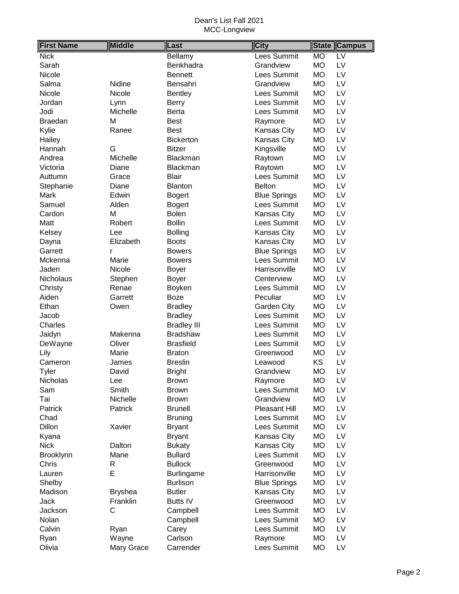| <b>First Name</b> | <b>Middle</b>    | Last                  | <b>City</b>                | <b>State</b> | <b>Campus</b>   |
|-------------------|------------------|-----------------------|----------------------------|--------------|-----------------|
| <b>Nick</b>       |                  | Bellamy               | Lees Summit                | <b>MO</b>    | $\overline{LV}$ |
| Sarah             |                  | Benkhadra             | Grandview                  | <b>MO</b>    | LV              |
| Nicole            |                  | <b>Bennett</b>        | Lees Summit                | <b>MO</b>    | LV              |
| Salma             | Nidine           | Bensahri              | Grandview                  | <b>MO</b>    | LV              |
| Nicole            | Nicole           | <b>Bentley</b>        | Lees Summit                | <b>MO</b>    | LV              |
| Jordan            | Lynn             | <b>Berry</b>          | Lees Summit                | <b>MO</b>    | LV              |
| Jodi              | Michelle         | Berta                 | Lees Summit                | <b>MO</b>    | LV              |
| <b>Braedan</b>    | M                | <b>Best</b>           | Raymore                    | <b>MO</b>    | LV              |
| Kylie             | Ranee            | <b>Best</b>           | Kansas City                | <b>MO</b>    | LV              |
| Hailey            |                  | Bickerton             | Kansas City                | <b>MO</b>    | LV              |
| Hannah            | G                | <b>Bitzer</b>         | Kingsville                 | <b>MO</b>    | LV              |
| Andrea            | Michelle         | Blackman              | Raytown                    | <b>MO</b>    | LV              |
| Victoria          | Diane            | Blackman              | Raytown                    | <b>MO</b>    | LV              |
| Auttumn           | Grace            | <b>Blair</b>          | Lees Summit                | <b>MO</b>    | LV              |
| Stephanie         | Diane            | <b>Blanton</b>        | <b>Belton</b>              | <b>MO</b>    | LV              |
| Mark              | Edwin            | <b>Bogert</b>         | <b>Blue Springs</b>        | <b>MO</b>    | LV              |
| Samuel            | Alden            | <b>Bogert</b>         | Lees Summit                | <b>MO</b>    | LV              |
| Cardon            | Μ                | <b>Bolen</b>          | Kansas City                | <b>MO</b>    | LV              |
| Matt              | Robert           | <b>Bollin</b>         | Lees Summit                | <b>MO</b>    | LV              |
| Kelsey            | Lee              | <b>Bolling</b>        | Kansas City                | <b>MO</b>    | LV              |
| Dayna             | Elizabeth        | <b>Boots</b>          | Kansas City                | <b>MO</b>    | LV              |
| Garrett           | r                | <b>Bowers</b>         | <b>Blue Springs</b>        | <b>MO</b>    | LV              |
| Mckenna           | Marie            | <b>Bowers</b>         | Lees Summit                | <b>MO</b>    | LV              |
| Jaden             | Nicole           | <b>Boyer</b>          | Harrisonville              | <b>MO</b>    | LV              |
| Nicholaus         |                  |                       | Centerview                 | <b>MO</b>    | LV              |
|                   | Stephen<br>Renae | <b>Boyer</b>          | Lees Summit                | <b>MO</b>    | LV              |
| Christy<br>Aiden  | Garrett          | Boyken<br><b>Boze</b> | Peculiar                   | <b>MO</b>    | LV              |
| Ethan             |                  |                       |                            | <b>MO</b>    | LV              |
|                   | Owen             | <b>Bradley</b>        | Garden City<br>Lees Summit | <b>MO</b>    | LV              |
| Jacob             |                  | <b>Bradley</b>        | Lees Summit                | <b>MO</b>    |                 |
| Charles           |                  | <b>Bradley III</b>    |                            |              | LV              |
| Jaidyn            | Makenna          | <b>Bradshaw</b>       | Lees Summit                | <b>MO</b>    | LV              |
| DeWayne           | Oliver           | <b>Brasfield</b>      | Lees Summit                | <b>MO</b>    | LV              |
| Lily              | Marie            | <b>Braton</b>         | Greenwood                  | <b>MO</b>    | LV              |
| Cameron           | James            | <b>Breslin</b>        | Leawood                    | KS           | LV              |
| Tyler             | David            | <b>Bright</b>         | Grandview                  | <b>MO</b>    | LV              |
| Nicholas          | Lee              | <b>Brown</b>          | Raymore                    | <b>MO</b>    | LV              |
| Sam               | Smith            | <b>Brown</b>          | Lees Summit                | <b>MO</b>    | LV              |
| Tai               | Nichelle         | <b>Brown</b>          | Grandview                  | <b>MO</b>    | LV              |
| Patrick           | Patrick          | <b>Brunell</b>        | Pleasant Hill              | <b>MO</b>    | LV              |
| Chad              |                  | <b>Bruning</b>        | Lees Summit                | <b>MO</b>    | LV              |
| Dillon            | Xavier           | <b>Bryant</b>         | Lees Summit                | <b>MO</b>    | LV              |
| Kyana             |                  | <b>Bryant</b>         | Kansas City                | <b>MO</b>    | LV              |
| <b>Nick</b>       | Dalton           | <b>Bukaty</b>         | Kansas City                | <b>MO</b>    | LV              |
| <b>Brooklynn</b>  | Marie            | <b>Bullard</b>        | Lees Summit                | <b>MO</b>    | LV              |
| Chris             | R                | <b>Bullock</b>        | Greenwood                  | <b>MO</b>    | LV              |
| Lauren            | E                | <b>Burlingame</b>     | Harrisonville              | <b>MO</b>    | LV              |
| Shelby            |                  | <b>Burlison</b>       | <b>Blue Springs</b>        | <b>MO</b>    | LV              |
| Madison           | <b>Bryshea</b>   | <b>Butler</b>         | Kansas City                | <b>MO</b>    | LV              |
| Jack              | Franklin         | <b>Butts IV</b>       | Greenwood                  | <b>MO</b>    | LV              |
| Jackson           | C                | Campbell              | Lees Summit                | <b>MO</b>    | LV              |
| Nolan             |                  | Campbell              | Lees Summit                | <b>MO</b>    | LV              |
| Calvin            | Ryan             | Carey                 | Lees Summit                | <b>MO</b>    | LV              |
| Ryan              | Wayne            | Carlson               | Raymore                    | <b>MO</b>    | LV              |
| Olivia            | Mary Grace       | Carrender             | Lees Summit                | <b>MO</b>    | LV              |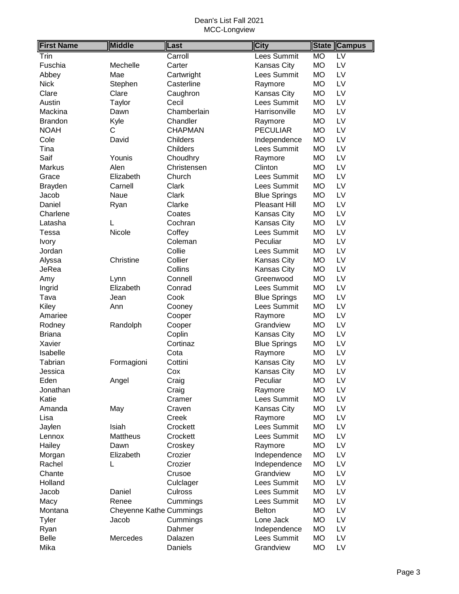| <b>First Name</b> | <b>Middle</b>                  | Last           | <b>City</b>         |           | State Campus    |
|-------------------|--------------------------------|----------------|---------------------|-----------|-----------------|
| Trin              |                                | Carroll        | Lees Summit         | <b>MO</b> | $\overline{LV}$ |
| Fuschia           | Mechelle                       | Carter         | Kansas City         | <b>MO</b> | LV              |
| Abbey             | Mae                            | Cartwright     | Lees Summit         | <b>MO</b> | LV              |
| <b>Nick</b>       | Stephen                        | Casterline     | Raymore             | <b>MO</b> | LV              |
| Clare             | Clare                          | Caughron       | Kansas City         | MO        | LV              |
| Austin            | Taylor                         | Cecil          | Lees Summit         | <b>MO</b> | LV              |
| Mackina           | Dawn                           | Chamberlain    | Harrisonville       | <b>MO</b> | LV              |
| <b>Brandon</b>    | Kyle                           | Chandler       | Raymore             | <b>MO</b> | LV              |
| <b>NOAH</b>       | С                              | <b>CHAPMAN</b> | <b>PECULIAR</b>     | <b>MO</b> | LV              |
| Cole              | David                          | Childers       | Independence        | <b>MO</b> | LV              |
| Tina              |                                | Childers       | Lees Summit         | <b>MO</b> | LV              |
| Saif              | Younis                         | Choudhry       | Raymore             | <b>MO</b> | LV              |
| Markus            | Alen                           | Christensen    | Clinton             | MO        | LV              |
| Grace             | Elizabeth                      | Church         | Lees Summit         | <b>MO</b> | LV              |
| <b>Brayden</b>    | Carnell                        | Clark          | Lees Summit         | <b>MO</b> | LV              |
| Jacob             | <b>Naue</b>                    | Clark          | <b>Blue Springs</b> | <b>MO</b> | LV              |
| Daniel            | Ryan                           | Clarke         | Pleasant Hill       | <b>MO</b> | LV              |
| Charlene          |                                | Coates         | Kansas City         | <b>MO</b> | LV              |
| Latasha           | L                              | Cochran        | Kansas City         | <b>MO</b> | LV              |
| Tessa             | Nicole                         | Coffey         | Lees Summit         | <b>MO</b> | LV              |
| <b>Ivory</b>      |                                | Coleman        | Peculiar            | <b>MO</b> | LV              |
| Jordan            |                                | Collie         | Lees Summit         | MO        | LV              |
| Alyssa            | Christine                      | Collier        | Kansas City         | <b>MO</b> | LV              |
| JeRea             |                                | Collins        | Kansas City         | <b>MO</b> | LV              |
| Amy               | Lynn                           | Connell        | Greenwood           | <b>MO</b> | LV              |
| Ingrid            | Elizabeth                      | Conrad         | Lees Summit         | <b>MO</b> | LV              |
| Tava              | Jean                           | Cook           | <b>Blue Springs</b> | <b>MO</b> | LV              |
| Kiley             | Ann                            | Cooney         | Lees Summit         | <b>MO</b> | LV              |
| Amariee           |                                | Cooper         | Raymore             | MO        | LV              |
| Rodney            | Randolph                       | Cooper         | Grandview           | MO        | LV              |
| <b>Briana</b>     |                                | Coplin         | Kansas City         | MO        | LV              |
| Xavier            |                                | Cortinaz       | <b>Blue Springs</b> | <b>MO</b> | LV              |
| Isabelle          |                                | Cota           | Raymore             | <b>MO</b> | LV              |
| Tabrian           | Formagioni                     | Cottini        | Kansas City         | <b>MO</b> | LV              |
| Jessica           |                                | Cox            | Kansas City         | <b>MO</b> | LV              |
| Eden              | Angel                          | Craig          | Peculiar            | <b>MO</b> | LV              |
| Jonathan          |                                | Craig          | Raymore             | <b>MO</b> | LV              |
| Katie             |                                | Cramer         | Lees Summit         | MO        | LV              |
| Amanda            | May                            | Craven         | Kansas City         | MO        | LV              |
| Lisa              |                                | Creek          | Raymore             | MO        | LV              |
| Jaylen            | Isiah                          | Crockett       | Lees Summit         | MO        | LV              |
| Lennox            | Mattheus                       | Crockett       | Lees Summit         | MO        | LV              |
| Hailey            | Dawn                           | Croskey        | Raymore             | MO        | LV              |
| Morgan            | Elizabeth                      | Crozier        | Independence        | <b>MO</b> | LV              |
| Rachel            |                                | Crozier        | Independence        | MO        | LV              |
| Chante            |                                | Crusoe         | Grandview           | MO        | LV              |
| Holland           |                                | Culclager      | Lees Summit         | MO        | LV              |
| Jacob             | Daniel                         | Culross        | Lees Summit         | MO        | LV              |
| Macy              | Renee                          | Cummings       | Lees Summit         | <b>MO</b> | LV              |
| Montana           | <b>Cheyenne Kathe Cummings</b> |                | <b>Belton</b>       | МO        | LV              |
| <b>Tyler</b>      | Jacob                          | Cummings       | Lone Jack           | MO        | LV              |
| Ryan              |                                | Dahmer         | Independence        | MO        | LV              |
| <b>Belle</b>      | Mercedes                       | Dalazen        | Lees Summit         | MO        | LV              |
| Mika              |                                | Daniels        | Grandview           | <b>MO</b> | LV              |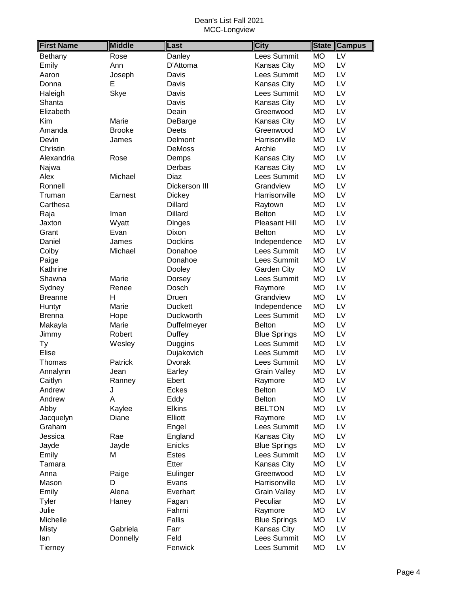| <b>First Name</b> | <b>Middle</b> | Last           | <b>City</b>          | <b>State</b> | <b>Campus</b>   |
|-------------------|---------------|----------------|----------------------|--------------|-----------------|
| Bethany           | Rose          | Danley         | Lees Summit          | <b>MO</b>    | $\overline{LV}$ |
| Emily             | Ann           | D'Attoma       | Kansas City          | <b>MO</b>    | LV              |
| Aaron             | Joseph        | Davis          | Lees Summit          | <b>MO</b>    | LV              |
| Donna             | E             | Davis          | Kansas City          | <b>MO</b>    | LV              |
| Haleigh           | Skye          | Davis          | Lees Summit          | <b>MO</b>    | LV              |
| Shanta            |               | Davis          | Kansas City          | <b>MO</b>    | LV              |
| Elizabeth         |               | Deain          | Greenwood            | <b>MO</b>    | LV              |
| Kim               | Marie         | DeBarge        | Kansas City          | <b>MO</b>    | LV              |
| Amanda            | <b>Brooke</b> | Deets          | Greenwood            | <b>MO</b>    | LV              |
| Devin             | James         | Delmont        | Harrisonville        | <b>MO</b>    | LV              |
| Christin          |               | <b>DeMoss</b>  | Archie               | <b>MO</b>    | LV              |
| Alexandria        | Rose          | Demps          | Kansas City          | <b>MO</b>    | LV              |
| Najwa             |               | Derbas         | Kansas City          | <b>MO</b>    | LV              |
| Alex              | Michael       | Diaz           | Lees Summit          | <b>MO</b>    | LV              |
| Ronnell           |               | Dickerson III  | Grandview            | <b>MO</b>    | LV              |
| Truman            | Earnest       | Dickey         | Harrisonville        | <b>MO</b>    | LV              |
| Carthesa          |               | <b>Dillard</b> | Raytown              | <b>MO</b>    | LV              |
| Raja              | Iman          | <b>Dillard</b> | <b>Belton</b>        | <b>MO</b>    | LV              |
| Jaxton            | Wyatt         | Dinges         | <b>Pleasant Hill</b> | <b>MO</b>    | LV              |
| Grant             | Evan          | Dixon          | <b>Belton</b>        | <b>MO</b>    | LV              |
| Daniel            | James         | <b>Dockins</b> | Independence         | <b>MO</b>    | LV              |
| Colby             | Michael       | Donahoe        | <b>Lees Summit</b>   | <b>MO</b>    | LV              |
| Paige             |               | Donahoe        | Lees Summit          | <b>MO</b>    | LV              |
| Kathrine          |               | Dooley         | Garden City          | <b>MO</b>    | LV              |
| Shawna            | Marie         | Dorsey         | Lees Summit          | <b>MO</b>    | LV              |
| Sydney            | Renee         | Dosch          | Raymore              | <b>MO</b>    | LV              |
| <b>Breanne</b>    | H             | Druen          | Grandview            | <b>MO</b>    | LV              |
| Huntyr            | Marie         | <b>Duckett</b> | Independence         | <b>MO</b>    | LV              |
| <b>Brenna</b>     | Hope          | Duckworth      | Lees Summit          | <b>MO</b>    | LV              |
| Makayla           | Marie         | Duffelmeyer    | <b>Belton</b>        | <b>MO</b>    | LV              |
| Jimmy             | Robert        | Duffey         | <b>Blue Springs</b>  | <b>MO</b>    | LV              |
| Ty                | Wesley        | Duggins        | Lees Summit          | <b>MO</b>    | LV              |
| Elise             |               | Dujakovich     | Lees Summit          | <b>MO</b>    | LV              |
| Thomas            | Patrick       | Dvorak         | Lees Summit          | <b>MO</b>    | LV              |
| Annalynn          | Jean          | Earley         | <b>Grain Valley</b>  | <b>MO</b>    | LV              |
| Caitlyn           | Ranney        | Ebert          | Raymore              | МO           | LV              |
| Andrew            | J             | <b>Eckes</b>   | <b>Belton</b>        | <b>MO</b>    | LV              |
| Andrew            | A             | Eddy           | <b>Belton</b>        | <b>MO</b>    | LV              |
| Abby              | Kaylee        | <b>Elkins</b>  | <b>BELTON</b>        | МO           | LV              |
| Jacquelyn         | Diane         | Elliott        | Raymore              | <b>MO</b>    | LV              |
| Graham            |               | Engel          | Lees Summit          | <b>MO</b>    | LV              |
| Jessica           | Rae           | England        | Kansas City          | MO           | LV              |
| Jayde             | Jayde         | Enicks         | <b>Blue Springs</b>  | MO           | LV              |
| Emily             | Μ             | <b>Estes</b>   | Lees Summit          | <b>MO</b>    | LV              |
| Tamara            |               | Etter          | Kansas City          | МO           | LV              |
| Anna              | Paige         | Eulinger       | Greenwood            | <b>MO</b>    | LV              |
| Mason             | D             | Evans          | Harrisonville        | <b>MO</b>    | LV              |
| Emily             | Alena         | Everhart       | <b>Grain Valley</b>  | MO           | LV              |
| Tyler             | Haney         | Fagan          | Peculiar             | MO           | LV              |
| Julie             |               | Fahrni         | Raymore              | <b>MO</b>    | LV              |
| Michelle          |               | Fallis         | <b>Blue Springs</b>  | <b>MO</b>    | LV              |
| <b>Misty</b>      | Gabriela      | Farr           | Kansas City          | MO           | LV              |
| lan               | Donnelly      | Feld           | Lees Summit          | <b>MO</b>    | LV              |
| <b>Tierney</b>    |               | Fenwick        | Lees Summit          | <b>MO</b>    | LV              |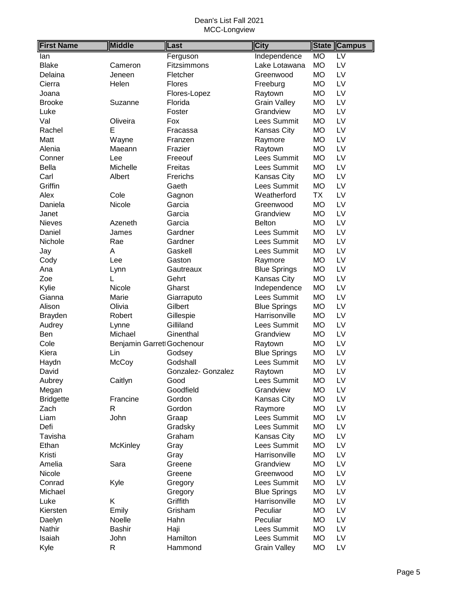| <b>MO</b><br>$\overline{LV}$<br>Ferguson<br>Independence<br>lan<br><b>MO</b><br>LV<br><b>Blake</b><br>Fitzsimmons<br>Lake Lotawana<br>Cameron<br><b>MO</b><br>LV<br>Delaina<br>Jeneen<br>Fletcher<br>Greenwood<br>LV<br>Cierra<br>Helen<br>Flores<br><b>MO</b><br>Freeburg<br>LV<br><b>MO</b><br>Flores-Lopez<br>Raytown<br>Joana<br>LV<br><b>Grain Valley</b><br>Florida<br><b>MO</b><br><b>Brooke</b><br>Suzanne<br>Grandview<br><b>MO</b><br>LV<br>Luke<br>Foster<br>LV<br>Val<br>Lees Summit<br><b>MO</b><br>Oliveira<br>Fox<br>LV<br><b>MO</b><br>Rachel<br>Е<br>Kansas City<br>Fracassa<br>LV<br>Wayne<br><b>MO</b><br>Matt<br>Raymore<br>Franzen<br><b>MO</b><br>LV<br>Alenia<br>Maeann<br>Frazier<br>Raytown<br>LV<br>Lees Summit<br><b>MO</b><br>Freeouf<br>Conner<br>Lee<br>Michelle<br>Freitas<br>Lees Summit<br><b>MO</b><br>LV<br><b>Bella</b><br>Frerichs<br><b>MO</b><br>LV<br>Carl<br>Albert<br>Kansas City<br>Griffin<br>Lees Summit<br><b>MO</b><br>LV<br>Gaeth<br>Cole<br>LV<br>Alex<br>Weatherford<br>TX<br>Gagnon<br><b>MO</b><br>LV<br>Daniela<br>Nicole<br>Garcia<br>Greenwood<br>Grandview<br><b>MO</b><br>LV<br>Garcia<br>Janet<br>LV<br>Garcia<br><b>MO</b><br><b>Nieves</b><br>Azeneth<br><b>Belton</b><br>Gardner<br>Lees Summit<br><b>MO</b><br>LV<br>Daniel<br>James<br>Lees Summit<br>LV<br>Rae<br>Gardner<br><b>MO</b><br>Nichole<br>LV<br>Lees Summit<br><b>MO</b><br>A<br>Gaskell<br>Jay<br>LV<br><b>MO</b><br>Cody<br>Lee<br>Gaston<br>Raymore<br>LV<br><b>Blue Springs</b><br><b>MO</b><br>Ana<br>Gautreaux<br>Lynn<br>LV<br><b>MO</b><br>Zoe<br>L<br>Gehrt<br>Kansas City<br>LV<br>Nicole<br>Gharst<br><b>MO</b><br>Kylie<br>Independence<br>LV<br>Lees Summit<br>Gianna<br>Marie<br>Giarraputo<br><b>MO</b><br>LV<br>Gilbert<br><b>Blue Springs</b><br><b>MO</b><br>Alison<br>Olivia<br>Harrisonville<br><b>MO</b><br>LV<br>Robert<br>Gillespie<br><b>Brayden</b><br>Gilliland<br>Lees Summit<br><b>MO</b><br>LV<br>Audrey<br>Lynne<br>LV<br>Ben<br>Michael<br>Ginenthal<br>Grandview<br><b>MO</b><br>LV<br>Cole<br>Benjamin Garret Gochenour<br><b>MO</b><br>Raytown<br><b>Blue Springs</b><br><b>MO</b><br>LV<br>Kiera<br>Lin<br>Godsey<br>McCoy<br>Lees Summit<br><b>MO</b><br>LV<br>Haydn<br>Godshall<br>LV<br><b>MO</b><br>David<br>Gonzalez- Gonzalez<br>Raytown<br>Caitlyn<br>Lees Summit<br><b>MO</b><br>Good<br>LV<br>Aubrey<br>Grandview<br><b>MO</b><br>LV<br>Goodfield<br>Megan<br>LV<br>Francine<br>Gordon<br>Kansas City<br><b>MO</b><br><b>Bridgette</b><br>LV<br>Zach<br>R<br>Gordon<br>Raymore<br><b>MO</b><br>John<br>Lees Summit<br>LV<br>Liam<br><b>MO</b><br>Graap<br>Lees Summit<br>LV<br>Defi<br>Gradsky<br><b>MO</b><br>Graham<br><b>MO</b><br>LV<br>Tavisha<br>Kansas City<br>McKinley<br>Lees Summit<br>LV<br>Ethan<br>Gray<br><b>MO</b><br>Kristi<br>Harrisonville<br><b>MO</b><br>LV<br>Gray<br>LV<br>Amelia<br>Sara<br>Greene<br>Grandview<br>MO<br><b>MO</b><br>LV<br>Nicole<br>Greenwood<br>Greene<br>Lees Summit<br>LV<br>Conrad<br><b>MO</b><br>Kyle<br>Gregory<br>LV<br>Michael<br>Gregory<br><b>Blue Springs</b><br>MO<br>Griffith<br>LV<br>Luke<br>Κ<br>Harrisonville<br>MO<br><b>MO</b><br>LV<br>Kiersten<br>Emily<br>Grisham<br>Peculiar<br><b>MO</b><br>LV<br>Noelle<br>Hahn<br>Peculiar<br>Daelyn<br>Lees Summit<br>LV<br>Nathir<br><b>Bashir</b><br>Haji<br><b>MO</b> | <b>First Name</b> | <b>Middle</b> | Last     | <b>City</b> | <b>State</b> | <b>Campus</b> |
|------------------------------------------------------------------------------------------------------------------------------------------------------------------------------------------------------------------------------------------------------------------------------------------------------------------------------------------------------------------------------------------------------------------------------------------------------------------------------------------------------------------------------------------------------------------------------------------------------------------------------------------------------------------------------------------------------------------------------------------------------------------------------------------------------------------------------------------------------------------------------------------------------------------------------------------------------------------------------------------------------------------------------------------------------------------------------------------------------------------------------------------------------------------------------------------------------------------------------------------------------------------------------------------------------------------------------------------------------------------------------------------------------------------------------------------------------------------------------------------------------------------------------------------------------------------------------------------------------------------------------------------------------------------------------------------------------------------------------------------------------------------------------------------------------------------------------------------------------------------------------------------------------------------------------------------------------------------------------------------------------------------------------------------------------------------------------------------------------------------------------------------------------------------------------------------------------------------------------------------------------------------------------------------------------------------------------------------------------------------------------------------------------------------------------------------------------------------------------------------------------------------------------------------------------------------------------------------------------------------------------------------------------------------------------------------------------------------------------------------------------------------------------------------------------------------------------------------------------------------------------------------------------------------------------------------------------------------------------------------------------------------------------------------------------------------------------------------------------------------------------------------------------------------------------------------------------------------------------------------------------------------------------------------------------------------------------------------------------|-------------------|---------------|----------|-------------|--------------|---------------|
|                                                                                                                                                                                                                                                                                                                                                                                                                                                                                                                                                                                                                                                                                                                                                                                                                                                                                                                                                                                                                                                                                                                                                                                                                                                                                                                                                                                                                                                                                                                                                                                                                                                                                                                                                                                                                                                                                                                                                                                                                                                                                                                                                                                                                                                                                                                                                                                                                                                                                                                                                                                                                                                                                                                                                                                                                                                                                                                                                                                                                                                                                                                                                                                                                                                                                                                                                      |                   |               |          |             |              |               |
|                                                                                                                                                                                                                                                                                                                                                                                                                                                                                                                                                                                                                                                                                                                                                                                                                                                                                                                                                                                                                                                                                                                                                                                                                                                                                                                                                                                                                                                                                                                                                                                                                                                                                                                                                                                                                                                                                                                                                                                                                                                                                                                                                                                                                                                                                                                                                                                                                                                                                                                                                                                                                                                                                                                                                                                                                                                                                                                                                                                                                                                                                                                                                                                                                                                                                                                                                      |                   |               |          |             |              |               |
|                                                                                                                                                                                                                                                                                                                                                                                                                                                                                                                                                                                                                                                                                                                                                                                                                                                                                                                                                                                                                                                                                                                                                                                                                                                                                                                                                                                                                                                                                                                                                                                                                                                                                                                                                                                                                                                                                                                                                                                                                                                                                                                                                                                                                                                                                                                                                                                                                                                                                                                                                                                                                                                                                                                                                                                                                                                                                                                                                                                                                                                                                                                                                                                                                                                                                                                                                      |                   |               |          |             |              |               |
|                                                                                                                                                                                                                                                                                                                                                                                                                                                                                                                                                                                                                                                                                                                                                                                                                                                                                                                                                                                                                                                                                                                                                                                                                                                                                                                                                                                                                                                                                                                                                                                                                                                                                                                                                                                                                                                                                                                                                                                                                                                                                                                                                                                                                                                                                                                                                                                                                                                                                                                                                                                                                                                                                                                                                                                                                                                                                                                                                                                                                                                                                                                                                                                                                                                                                                                                                      |                   |               |          |             |              |               |
|                                                                                                                                                                                                                                                                                                                                                                                                                                                                                                                                                                                                                                                                                                                                                                                                                                                                                                                                                                                                                                                                                                                                                                                                                                                                                                                                                                                                                                                                                                                                                                                                                                                                                                                                                                                                                                                                                                                                                                                                                                                                                                                                                                                                                                                                                                                                                                                                                                                                                                                                                                                                                                                                                                                                                                                                                                                                                                                                                                                                                                                                                                                                                                                                                                                                                                                                                      |                   |               |          |             |              |               |
|                                                                                                                                                                                                                                                                                                                                                                                                                                                                                                                                                                                                                                                                                                                                                                                                                                                                                                                                                                                                                                                                                                                                                                                                                                                                                                                                                                                                                                                                                                                                                                                                                                                                                                                                                                                                                                                                                                                                                                                                                                                                                                                                                                                                                                                                                                                                                                                                                                                                                                                                                                                                                                                                                                                                                                                                                                                                                                                                                                                                                                                                                                                                                                                                                                                                                                                                                      |                   |               |          |             |              |               |
|                                                                                                                                                                                                                                                                                                                                                                                                                                                                                                                                                                                                                                                                                                                                                                                                                                                                                                                                                                                                                                                                                                                                                                                                                                                                                                                                                                                                                                                                                                                                                                                                                                                                                                                                                                                                                                                                                                                                                                                                                                                                                                                                                                                                                                                                                                                                                                                                                                                                                                                                                                                                                                                                                                                                                                                                                                                                                                                                                                                                                                                                                                                                                                                                                                                                                                                                                      |                   |               |          |             |              |               |
|                                                                                                                                                                                                                                                                                                                                                                                                                                                                                                                                                                                                                                                                                                                                                                                                                                                                                                                                                                                                                                                                                                                                                                                                                                                                                                                                                                                                                                                                                                                                                                                                                                                                                                                                                                                                                                                                                                                                                                                                                                                                                                                                                                                                                                                                                                                                                                                                                                                                                                                                                                                                                                                                                                                                                                                                                                                                                                                                                                                                                                                                                                                                                                                                                                                                                                                                                      |                   |               |          |             |              |               |
|                                                                                                                                                                                                                                                                                                                                                                                                                                                                                                                                                                                                                                                                                                                                                                                                                                                                                                                                                                                                                                                                                                                                                                                                                                                                                                                                                                                                                                                                                                                                                                                                                                                                                                                                                                                                                                                                                                                                                                                                                                                                                                                                                                                                                                                                                                                                                                                                                                                                                                                                                                                                                                                                                                                                                                                                                                                                                                                                                                                                                                                                                                                                                                                                                                                                                                                                                      |                   |               |          |             |              |               |
|                                                                                                                                                                                                                                                                                                                                                                                                                                                                                                                                                                                                                                                                                                                                                                                                                                                                                                                                                                                                                                                                                                                                                                                                                                                                                                                                                                                                                                                                                                                                                                                                                                                                                                                                                                                                                                                                                                                                                                                                                                                                                                                                                                                                                                                                                                                                                                                                                                                                                                                                                                                                                                                                                                                                                                                                                                                                                                                                                                                                                                                                                                                                                                                                                                                                                                                                                      |                   |               |          |             |              |               |
|                                                                                                                                                                                                                                                                                                                                                                                                                                                                                                                                                                                                                                                                                                                                                                                                                                                                                                                                                                                                                                                                                                                                                                                                                                                                                                                                                                                                                                                                                                                                                                                                                                                                                                                                                                                                                                                                                                                                                                                                                                                                                                                                                                                                                                                                                                                                                                                                                                                                                                                                                                                                                                                                                                                                                                                                                                                                                                                                                                                                                                                                                                                                                                                                                                                                                                                                                      |                   |               |          |             |              |               |
|                                                                                                                                                                                                                                                                                                                                                                                                                                                                                                                                                                                                                                                                                                                                                                                                                                                                                                                                                                                                                                                                                                                                                                                                                                                                                                                                                                                                                                                                                                                                                                                                                                                                                                                                                                                                                                                                                                                                                                                                                                                                                                                                                                                                                                                                                                                                                                                                                                                                                                                                                                                                                                                                                                                                                                                                                                                                                                                                                                                                                                                                                                                                                                                                                                                                                                                                                      |                   |               |          |             |              |               |
|                                                                                                                                                                                                                                                                                                                                                                                                                                                                                                                                                                                                                                                                                                                                                                                                                                                                                                                                                                                                                                                                                                                                                                                                                                                                                                                                                                                                                                                                                                                                                                                                                                                                                                                                                                                                                                                                                                                                                                                                                                                                                                                                                                                                                                                                                                                                                                                                                                                                                                                                                                                                                                                                                                                                                                                                                                                                                                                                                                                                                                                                                                                                                                                                                                                                                                                                                      |                   |               |          |             |              |               |
|                                                                                                                                                                                                                                                                                                                                                                                                                                                                                                                                                                                                                                                                                                                                                                                                                                                                                                                                                                                                                                                                                                                                                                                                                                                                                                                                                                                                                                                                                                                                                                                                                                                                                                                                                                                                                                                                                                                                                                                                                                                                                                                                                                                                                                                                                                                                                                                                                                                                                                                                                                                                                                                                                                                                                                                                                                                                                                                                                                                                                                                                                                                                                                                                                                                                                                                                                      |                   |               |          |             |              |               |
|                                                                                                                                                                                                                                                                                                                                                                                                                                                                                                                                                                                                                                                                                                                                                                                                                                                                                                                                                                                                                                                                                                                                                                                                                                                                                                                                                                                                                                                                                                                                                                                                                                                                                                                                                                                                                                                                                                                                                                                                                                                                                                                                                                                                                                                                                                                                                                                                                                                                                                                                                                                                                                                                                                                                                                                                                                                                                                                                                                                                                                                                                                                                                                                                                                                                                                                                                      |                   |               |          |             |              |               |
|                                                                                                                                                                                                                                                                                                                                                                                                                                                                                                                                                                                                                                                                                                                                                                                                                                                                                                                                                                                                                                                                                                                                                                                                                                                                                                                                                                                                                                                                                                                                                                                                                                                                                                                                                                                                                                                                                                                                                                                                                                                                                                                                                                                                                                                                                                                                                                                                                                                                                                                                                                                                                                                                                                                                                                                                                                                                                                                                                                                                                                                                                                                                                                                                                                                                                                                                                      |                   |               |          |             |              |               |
|                                                                                                                                                                                                                                                                                                                                                                                                                                                                                                                                                                                                                                                                                                                                                                                                                                                                                                                                                                                                                                                                                                                                                                                                                                                                                                                                                                                                                                                                                                                                                                                                                                                                                                                                                                                                                                                                                                                                                                                                                                                                                                                                                                                                                                                                                                                                                                                                                                                                                                                                                                                                                                                                                                                                                                                                                                                                                                                                                                                                                                                                                                                                                                                                                                                                                                                                                      |                   |               |          |             |              |               |
|                                                                                                                                                                                                                                                                                                                                                                                                                                                                                                                                                                                                                                                                                                                                                                                                                                                                                                                                                                                                                                                                                                                                                                                                                                                                                                                                                                                                                                                                                                                                                                                                                                                                                                                                                                                                                                                                                                                                                                                                                                                                                                                                                                                                                                                                                                                                                                                                                                                                                                                                                                                                                                                                                                                                                                                                                                                                                                                                                                                                                                                                                                                                                                                                                                                                                                                                                      |                   |               |          |             |              |               |
|                                                                                                                                                                                                                                                                                                                                                                                                                                                                                                                                                                                                                                                                                                                                                                                                                                                                                                                                                                                                                                                                                                                                                                                                                                                                                                                                                                                                                                                                                                                                                                                                                                                                                                                                                                                                                                                                                                                                                                                                                                                                                                                                                                                                                                                                                                                                                                                                                                                                                                                                                                                                                                                                                                                                                                                                                                                                                                                                                                                                                                                                                                                                                                                                                                                                                                                                                      |                   |               |          |             |              |               |
|                                                                                                                                                                                                                                                                                                                                                                                                                                                                                                                                                                                                                                                                                                                                                                                                                                                                                                                                                                                                                                                                                                                                                                                                                                                                                                                                                                                                                                                                                                                                                                                                                                                                                                                                                                                                                                                                                                                                                                                                                                                                                                                                                                                                                                                                                                                                                                                                                                                                                                                                                                                                                                                                                                                                                                                                                                                                                                                                                                                                                                                                                                                                                                                                                                                                                                                                                      |                   |               |          |             |              |               |
|                                                                                                                                                                                                                                                                                                                                                                                                                                                                                                                                                                                                                                                                                                                                                                                                                                                                                                                                                                                                                                                                                                                                                                                                                                                                                                                                                                                                                                                                                                                                                                                                                                                                                                                                                                                                                                                                                                                                                                                                                                                                                                                                                                                                                                                                                                                                                                                                                                                                                                                                                                                                                                                                                                                                                                                                                                                                                                                                                                                                                                                                                                                                                                                                                                                                                                                                                      |                   |               |          |             |              |               |
|                                                                                                                                                                                                                                                                                                                                                                                                                                                                                                                                                                                                                                                                                                                                                                                                                                                                                                                                                                                                                                                                                                                                                                                                                                                                                                                                                                                                                                                                                                                                                                                                                                                                                                                                                                                                                                                                                                                                                                                                                                                                                                                                                                                                                                                                                                                                                                                                                                                                                                                                                                                                                                                                                                                                                                                                                                                                                                                                                                                                                                                                                                                                                                                                                                                                                                                                                      |                   |               |          |             |              |               |
|                                                                                                                                                                                                                                                                                                                                                                                                                                                                                                                                                                                                                                                                                                                                                                                                                                                                                                                                                                                                                                                                                                                                                                                                                                                                                                                                                                                                                                                                                                                                                                                                                                                                                                                                                                                                                                                                                                                                                                                                                                                                                                                                                                                                                                                                                                                                                                                                                                                                                                                                                                                                                                                                                                                                                                                                                                                                                                                                                                                                                                                                                                                                                                                                                                                                                                                                                      |                   |               |          |             |              |               |
|                                                                                                                                                                                                                                                                                                                                                                                                                                                                                                                                                                                                                                                                                                                                                                                                                                                                                                                                                                                                                                                                                                                                                                                                                                                                                                                                                                                                                                                                                                                                                                                                                                                                                                                                                                                                                                                                                                                                                                                                                                                                                                                                                                                                                                                                                                                                                                                                                                                                                                                                                                                                                                                                                                                                                                                                                                                                                                                                                                                                                                                                                                                                                                                                                                                                                                                                                      |                   |               |          |             |              |               |
|                                                                                                                                                                                                                                                                                                                                                                                                                                                                                                                                                                                                                                                                                                                                                                                                                                                                                                                                                                                                                                                                                                                                                                                                                                                                                                                                                                                                                                                                                                                                                                                                                                                                                                                                                                                                                                                                                                                                                                                                                                                                                                                                                                                                                                                                                                                                                                                                                                                                                                                                                                                                                                                                                                                                                                                                                                                                                                                                                                                                                                                                                                                                                                                                                                                                                                                                                      |                   |               |          |             |              |               |
|                                                                                                                                                                                                                                                                                                                                                                                                                                                                                                                                                                                                                                                                                                                                                                                                                                                                                                                                                                                                                                                                                                                                                                                                                                                                                                                                                                                                                                                                                                                                                                                                                                                                                                                                                                                                                                                                                                                                                                                                                                                                                                                                                                                                                                                                                                                                                                                                                                                                                                                                                                                                                                                                                                                                                                                                                                                                                                                                                                                                                                                                                                                                                                                                                                                                                                                                                      |                   |               |          |             |              |               |
|                                                                                                                                                                                                                                                                                                                                                                                                                                                                                                                                                                                                                                                                                                                                                                                                                                                                                                                                                                                                                                                                                                                                                                                                                                                                                                                                                                                                                                                                                                                                                                                                                                                                                                                                                                                                                                                                                                                                                                                                                                                                                                                                                                                                                                                                                                                                                                                                                                                                                                                                                                                                                                                                                                                                                                                                                                                                                                                                                                                                                                                                                                                                                                                                                                                                                                                                                      |                   |               |          |             |              |               |
|                                                                                                                                                                                                                                                                                                                                                                                                                                                                                                                                                                                                                                                                                                                                                                                                                                                                                                                                                                                                                                                                                                                                                                                                                                                                                                                                                                                                                                                                                                                                                                                                                                                                                                                                                                                                                                                                                                                                                                                                                                                                                                                                                                                                                                                                                                                                                                                                                                                                                                                                                                                                                                                                                                                                                                                                                                                                                                                                                                                                                                                                                                                                                                                                                                                                                                                                                      |                   |               |          |             |              |               |
|                                                                                                                                                                                                                                                                                                                                                                                                                                                                                                                                                                                                                                                                                                                                                                                                                                                                                                                                                                                                                                                                                                                                                                                                                                                                                                                                                                                                                                                                                                                                                                                                                                                                                                                                                                                                                                                                                                                                                                                                                                                                                                                                                                                                                                                                                                                                                                                                                                                                                                                                                                                                                                                                                                                                                                                                                                                                                                                                                                                                                                                                                                                                                                                                                                                                                                                                                      |                   |               |          |             |              |               |
|                                                                                                                                                                                                                                                                                                                                                                                                                                                                                                                                                                                                                                                                                                                                                                                                                                                                                                                                                                                                                                                                                                                                                                                                                                                                                                                                                                                                                                                                                                                                                                                                                                                                                                                                                                                                                                                                                                                                                                                                                                                                                                                                                                                                                                                                                                                                                                                                                                                                                                                                                                                                                                                                                                                                                                                                                                                                                                                                                                                                                                                                                                                                                                                                                                                                                                                                                      |                   |               |          |             |              |               |
|                                                                                                                                                                                                                                                                                                                                                                                                                                                                                                                                                                                                                                                                                                                                                                                                                                                                                                                                                                                                                                                                                                                                                                                                                                                                                                                                                                                                                                                                                                                                                                                                                                                                                                                                                                                                                                                                                                                                                                                                                                                                                                                                                                                                                                                                                                                                                                                                                                                                                                                                                                                                                                                                                                                                                                                                                                                                                                                                                                                                                                                                                                                                                                                                                                                                                                                                                      |                   |               |          |             |              |               |
|                                                                                                                                                                                                                                                                                                                                                                                                                                                                                                                                                                                                                                                                                                                                                                                                                                                                                                                                                                                                                                                                                                                                                                                                                                                                                                                                                                                                                                                                                                                                                                                                                                                                                                                                                                                                                                                                                                                                                                                                                                                                                                                                                                                                                                                                                                                                                                                                                                                                                                                                                                                                                                                                                                                                                                                                                                                                                                                                                                                                                                                                                                                                                                                                                                                                                                                                                      |                   |               |          |             |              |               |
|                                                                                                                                                                                                                                                                                                                                                                                                                                                                                                                                                                                                                                                                                                                                                                                                                                                                                                                                                                                                                                                                                                                                                                                                                                                                                                                                                                                                                                                                                                                                                                                                                                                                                                                                                                                                                                                                                                                                                                                                                                                                                                                                                                                                                                                                                                                                                                                                                                                                                                                                                                                                                                                                                                                                                                                                                                                                                                                                                                                                                                                                                                                                                                                                                                                                                                                                                      |                   |               |          |             |              |               |
|                                                                                                                                                                                                                                                                                                                                                                                                                                                                                                                                                                                                                                                                                                                                                                                                                                                                                                                                                                                                                                                                                                                                                                                                                                                                                                                                                                                                                                                                                                                                                                                                                                                                                                                                                                                                                                                                                                                                                                                                                                                                                                                                                                                                                                                                                                                                                                                                                                                                                                                                                                                                                                                                                                                                                                                                                                                                                                                                                                                                                                                                                                                                                                                                                                                                                                                                                      |                   |               |          |             |              |               |
|                                                                                                                                                                                                                                                                                                                                                                                                                                                                                                                                                                                                                                                                                                                                                                                                                                                                                                                                                                                                                                                                                                                                                                                                                                                                                                                                                                                                                                                                                                                                                                                                                                                                                                                                                                                                                                                                                                                                                                                                                                                                                                                                                                                                                                                                                                                                                                                                                                                                                                                                                                                                                                                                                                                                                                                                                                                                                                                                                                                                                                                                                                                                                                                                                                                                                                                                                      |                   |               |          |             |              |               |
|                                                                                                                                                                                                                                                                                                                                                                                                                                                                                                                                                                                                                                                                                                                                                                                                                                                                                                                                                                                                                                                                                                                                                                                                                                                                                                                                                                                                                                                                                                                                                                                                                                                                                                                                                                                                                                                                                                                                                                                                                                                                                                                                                                                                                                                                                                                                                                                                                                                                                                                                                                                                                                                                                                                                                                                                                                                                                                                                                                                                                                                                                                                                                                                                                                                                                                                                                      |                   |               |          |             |              |               |
|                                                                                                                                                                                                                                                                                                                                                                                                                                                                                                                                                                                                                                                                                                                                                                                                                                                                                                                                                                                                                                                                                                                                                                                                                                                                                                                                                                                                                                                                                                                                                                                                                                                                                                                                                                                                                                                                                                                                                                                                                                                                                                                                                                                                                                                                                                                                                                                                                                                                                                                                                                                                                                                                                                                                                                                                                                                                                                                                                                                                                                                                                                                                                                                                                                                                                                                                                      |                   |               |          |             |              |               |
|                                                                                                                                                                                                                                                                                                                                                                                                                                                                                                                                                                                                                                                                                                                                                                                                                                                                                                                                                                                                                                                                                                                                                                                                                                                                                                                                                                                                                                                                                                                                                                                                                                                                                                                                                                                                                                                                                                                                                                                                                                                                                                                                                                                                                                                                                                                                                                                                                                                                                                                                                                                                                                                                                                                                                                                                                                                                                                                                                                                                                                                                                                                                                                                                                                                                                                                                                      |                   |               |          |             |              |               |
|                                                                                                                                                                                                                                                                                                                                                                                                                                                                                                                                                                                                                                                                                                                                                                                                                                                                                                                                                                                                                                                                                                                                                                                                                                                                                                                                                                                                                                                                                                                                                                                                                                                                                                                                                                                                                                                                                                                                                                                                                                                                                                                                                                                                                                                                                                                                                                                                                                                                                                                                                                                                                                                                                                                                                                                                                                                                                                                                                                                                                                                                                                                                                                                                                                                                                                                                                      |                   |               |          |             |              |               |
|                                                                                                                                                                                                                                                                                                                                                                                                                                                                                                                                                                                                                                                                                                                                                                                                                                                                                                                                                                                                                                                                                                                                                                                                                                                                                                                                                                                                                                                                                                                                                                                                                                                                                                                                                                                                                                                                                                                                                                                                                                                                                                                                                                                                                                                                                                                                                                                                                                                                                                                                                                                                                                                                                                                                                                                                                                                                                                                                                                                                                                                                                                                                                                                                                                                                                                                                                      |                   |               |          |             |              |               |
|                                                                                                                                                                                                                                                                                                                                                                                                                                                                                                                                                                                                                                                                                                                                                                                                                                                                                                                                                                                                                                                                                                                                                                                                                                                                                                                                                                                                                                                                                                                                                                                                                                                                                                                                                                                                                                                                                                                                                                                                                                                                                                                                                                                                                                                                                                                                                                                                                                                                                                                                                                                                                                                                                                                                                                                                                                                                                                                                                                                                                                                                                                                                                                                                                                                                                                                                                      |                   |               |          |             |              |               |
|                                                                                                                                                                                                                                                                                                                                                                                                                                                                                                                                                                                                                                                                                                                                                                                                                                                                                                                                                                                                                                                                                                                                                                                                                                                                                                                                                                                                                                                                                                                                                                                                                                                                                                                                                                                                                                                                                                                                                                                                                                                                                                                                                                                                                                                                                                                                                                                                                                                                                                                                                                                                                                                                                                                                                                                                                                                                                                                                                                                                                                                                                                                                                                                                                                                                                                                                                      |                   |               |          |             |              |               |
|                                                                                                                                                                                                                                                                                                                                                                                                                                                                                                                                                                                                                                                                                                                                                                                                                                                                                                                                                                                                                                                                                                                                                                                                                                                                                                                                                                                                                                                                                                                                                                                                                                                                                                                                                                                                                                                                                                                                                                                                                                                                                                                                                                                                                                                                                                                                                                                                                                                                                                                                                                                                                                                                                                                                                                                                                                                                                                                                                                                                                                                                                                                                                                                                                                                                                                                                                      |                   |               |          |             |              |               |
|                                                                                                                                                                                                                                                                                                                                                                                                                                                                                                                                                                                                                                                                                                                                                                                                                                                                                                                                                                                                                                                                                                                                                                                                                                                                                                                                                                                                                                                                                                                                                                                                                                                                                                                                                                                                                                                                                                                                                                                                                                                                                                                                                                                                                                                                                                                                                                                                                                                                                                                                                                                                                                                                                                                                                                                                                                                                                                                                                                                                                                                                                                                                                                                                                                                                                                                                                      |                   |               |          |             |              |               |
|                                                                                                                                                                                                                                                                                                                                                                                                                                                                                                                                                                                                                                                                                                                                                                                                                                                                                                                                                                                                                                                                                                                                                                                                                                                                                                                                                                                                                                                                                                                                                                                                                                                                                                                                                                                                                                                                                                                                                                                                                                                                                                                                                                                                                                                                                                                                                                                                                                                                                                                                                                                                                                                                                                                                                                                                                                                                                                                                                                                                                                                                                                                                                                                                                                                                                                                                                      |                   |               |          |             |              |               |
|                                                                                                                                                                                                                                                                                                                                                                                                                                                                                                                                                                                                                                                                                                                                                                                                                                                                                                                                                                                                                                                                                                                                                                                                                                                                                                                                                                                                                                                                                                                                                                                                                                                                                                                                                                                                                                                                                                                                                                                                                                                                                                                                                                                                                                                                                                                                                                                                                                                                                                                                                                                                                                                                                                                                                                                                                                                                                                                                                                                                                                                                                                                                                                                                                                                                                                                                                      |                   |               |          |             |              |               |
|                                                                                                                                                                                                                                                                                                                                                                                                                                                                                                                                                                                                                                                                                                                                                                                                                                                                                                                                                                                                                                                                                                                                                                                                                                                                                                                                                                                                                                                                                                                                                                                                                                                                                                                                                                                                                                                                                                                                                                                                                                                                                                                                                                                                                                                                                                                                                                                                                                                                                                                                                                                                                                                                                                                                                                                                                                                                                                                                                                                                                                                                                                                                                                                                                                                                                                                                                      |                   |               |          |             |              |               |
|                                                                                                                                                                                                                                                                                                                                                                                                                                                                                                                                                                                                                                                                                                                                                                                                                                                                                                                                                                                                                                                                                                                                                                                                                                                                                                                                                                                                                                                                                                                                                                                                                                                                                                                                                                                                                                                                                                                                                                                                                                                                                                                                                                                                                                                                                                                                                                                                                                                                                                                                                                                                                                                                                                                                                                                                                                                                                                                                                                                                                                                                                                                                                                                                                                                                                                                                                      |                   |               |          |             |              |               |
|                                                                                                                                                                                                                                                                                                                                                                                                                                                                                                                                                                                                                                                                                                                                                                                                                                                                                                                                                                                                                                                                                                                                                                                                                                                                                                                                                                                                                                                                                                                                                                                                                                                                                                                                                                                                                                                                                                                                                                                                                                                                                                                                                                                                                                                                                                                                                                                                                                                                                                                                                                                                                                                                                                                                                                                                                                                                                                                                                                                                                                                                                                                                                                                                                                                                                                                                                      |                   |               |          |             |              |               |
|                                                                                                                                                                                                                                                                                                                                                                                                                                                                                                                                                                                                                                                                                                                                                                                                                                                                                                                                                                                                                                                                                                                                                                                                                                                                                                                                                                                                                                                                                                                                                                                                                                                                                                                                                                                                                                                                                                                                                                                                                                                                                                                                                                                                                                                                                                                                                                                                                                                                                                                                                                                                                                                                                                                                                                                                                                                                                                                                                                                                                                                                                                                                                                                                                                                                                                                                                      |                   |               |          |             |              |               |
|                                                                                                                                                                                                                                                                                                                                                                                                                                                                                                                                                                                                                                                                                                                                                                                                                                                                                                                                                                                                                                                                                                                                                                                                                                                                                                                                                                                                                                                                                                                                                                                                                                                                                                                                                                                                                                                                                                                                                                                                                                                                                                                                                                                                                                                                                                                                                                                                                                                                                                                                                                                                                                                                                                                                                                                                                                                                                                                                                                                                                                                                                                                                                                                                                                                                                                                                                      |                   |               |          |             |              |               |
|                                                                                                                                                                                                                                                                                                                                                                                                                                                                                                                                                                                                                                                                                                                                                                                                                                                                                                                                                                                                                                                                                                                                                                                                                                                                                                                                                                                                                                                                                                                                                                                                                                                                                                                                                                                                                                                                                                                                                                                                                                                                                                                                                                                                                                                                                                                                                                                                                                                                                                                                                                                                                                                                                                                                                                                                                                                                                                                                                                                                                                                                                                                                                                                                                                                                                                                                                      |                   |               |          |             |              |               |
|                                                                                                                                                                                                                                                                                                                                                                                                                                                                                                                                                                                                                                                                                                                                                                                                                                                                                                                                                                                                                                                                                                                                                                                                                                                                                                                                                                                                                                                                                                                                                                                                                                                                                                                                                                                                                                                                                                                                                                                                                                                                                                                                                                                                                                                                                                                                                                                                                                                                                                                                                                                                                                                                                                                                                                                                                                                                                                                                                                                                                                                                                                                                                                                                                                                                                                                                                      | Isaiah            | John          | Hamilton | Lees Summit | <b>MO</b>    | LV            |
| R<br><b>MO</b><br>Kyle<br>Hammond<br><b>Grain Valley</b><br>LV                                                                                                                                                                                                                                                                                                                                                                                                                                                                                                                                                                                                                                                                                                                                                                                                                                                                                                                                                                                                                                                                                                                                                                                                                                                                                                                                                                                                                                                                                                                                                                                                                                                                                                                                                                                                                                                                                                                                                                                                                                                                                                                                                                                                                                                                                                                                                                                                                                                                                                                                                                                                                                                                                                                                                                                                                                                                                                                                                                                                                                                                                                                                                                                                                                                                                       |                   |               |          |             |              |               |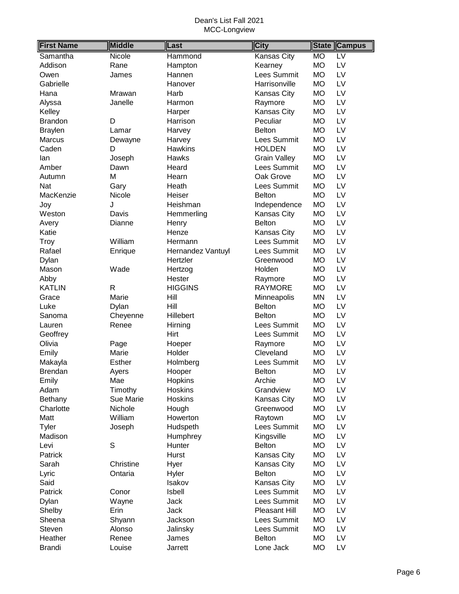| <b>First Name</b> | <b>Middle</b>    | Last              | <b>City</b>         | <b>State</b>    | <b>Campus</b>            |
|-------------------|------------------|-------------------|---------------------|-----------------|--------------------------|
| Samantha          | Nicole           | Hammond           | Kansas City         | <b>MO</b>       | $\overline{\mathsf{LV}}$ |
| Addison           | Rane             | Hampton           | Kearney             | <b>MO</b>       | LV                       |
| Owen              | James            | Hannen            | Lees Summit         | <b>MO</b>       | LV                       |
| Gabrielle         |                  | Hanover           | Harrisonville       | <b>MO</b>       | LV                       |
| Hana              | Mrawan           | Harb              | Kansas City         | <b>MO</b>       | LV                       |
| Alyssa            | Janelle          | Harmon            | Raymore             | <b>MO</b>       | LV                       |
| Kelley            |                  | Harper            | Kansas City         | <b>MO</b>       | LV                       |
| <b>Brandon</b>    | D                | Harrison          | Peculiar            | <b>MO</b>       | LV                       |
| <b>Braylen</b>    | Lamar            | Harvey            | <b>Belton</b>       | LV<br><b>MO</b> |                          |
| Marcus            | Dewayne          | Harvey            | Lees Summit         | <b>MO</b>       | LV                       |
| Caden             | D                | <b>Hawkins</b>    | <b>HOLDEN</b>       | <b>MO</b>       | LV                       |
| lan               | Joseph           | <b>Hawks</b>      | <b>Grain Valley</b> | <b>MO</b>       | LV                       |
| Amber             | Dawn             | Heard             | Lees Summit         | LV<br><b>MO</b> |                          |
| Autumn            | М                | Hearn             | Oak Grove           | <b>MO</b><br>LV |                          |
| Nat               | Gary             | Heath             | Lees Summit         | <b>MO</b>       | LV                       |
| MacKenzie         | Nicole           | Heiser            | <b>Belton</b>       | <b>MO</b>       | LV                       |
| Joy               | J                | Heishman          | Independence        | <b>MO</b>       | LV                       |
| Weston            | Davis            | Hemmerling        | Kansas City         | <b>MO</b>       | LV                       |
| Avery             | Dianne           | Henry             | <b>Belton</b>       | <b>MO</b>       | LV                       |
| Katie             |                  | Henze             | Kansas City         | <b>MO</b>       | LV                       |
| Troy              | William          | Hermann           | <b>Lees Summit</b>  | <b>MO</b>       | LV                       |
| Rafael            | Enrique          | Hernandez Vantuyl | Lees Summit         | <b>MO</b>       | LV                       |
| Dylan             |                  | Hertzler          | Greenwood           | <b>MO</b>       | LV                       |
| Mason             | Wade             | Hertzog           | Holden              | <b>MO</b>       | LV                       |
| Abby              |                  | Hester            | Raymore             | <b>MO</b>       | LV                       |
| <b>KATLIN</b>     | $\mathsf{R}$     | <b>HIGGINS</b>    | <b>RAYMORE</b>      | <b>MO</b>       | LV                       |
| Grace             | Marie            | Hill              | Minneapolis         | MN              | LV                       |
| Luke              | Dylan            | Hill              | <b>Belton</b>       | <b>MO</b>       | LV                       |
| Sanoma            | Cheyenne         | Hillebert         | <b>Belton</b>       | <b>MO</b>       | LV                       |
| Lauren            | Renee            | Hirning           | Lees Summit         | <b>MO</b>       | LV                       |
| Geoffrey          |                  | Hirt              | Lees Summit         | <b>MO</b>       | LV                       |
| Olivia            | Page             | Hoeper            | Raymore             | <b>MO</b>       | LV                       |
| Emily             | Marie            | Holder            | Cleveland           | <b>MO</b>       | LV                       |
| Makayla           | <b>Esther</b>    | Holmberg          | Lees Summit         | <b>MO</b>       | LV                       |
| <b>Brendan</b>    | Ayers            | Hooper            | <b>Belton</b>       | <b>MO</b>       | LV                       |
| Emily             | Mae              | Hopkins           | Archie              | <b>MO</b>       | LV                       |
| Adam              | Timothy          | <b>Hoskins</b>    | Grandview           | <b>MO</b>       | LV                       |
| <b>Bethany</b>    | <b>Sue Marie</b> | Hoskins           | Kansas City         | <b>MO</b>       | LV                       |
| Charlotte         | Nichole          | Hough             | Greenwood           | <b>MO</b>       | LV                       |
| Matt              | William          | Howerton          | Raytown             | <b>MO</b>       | LV                       |
| <b>Tyler</b>      | Joseph           | Hudspeth          | Lees Summit         | <b>MO</b>       | LV                       |
| Madison           |                  | Humphrey          | Kingsville          | <b>MO</b>       | LV                       |
| Levi              | S                | Hunter            | <b>Belton</b>       | <b>MO</b>       | LV                       |
| Patrick           |                  | Hurst             | Kansas City         | <b>MO</b>       | LV                       |
| Sarah             | Christine        | Hyer              | Kansas City         | МO              | LV                       |
| Lyric             | Ontaria          | Hyler             | <b>Belton</b>       | <b>MO</b>       | LV                       |
| Said              |                  | Isakov            | Kansas City         | <b>MO</b>       | LV                       |
| Patrick           | Conor            | Isbell            | Lees Summit         | <b>MO</b>       | LV                       |
| Dylan             | Wayne            | Jack              | Lees Summit         | <b>MO</b>       | LV                       |
| Shelby            | Erin             | <b>Jack</b>       | Pleasant Hill       | <b>MO</b>       | LV                       |
| Sheena            | Shyann           | Jackson           | Lees Summit         | <b>MO</b>       | LV                       |
| Steven            | Alonso           | Jalinsky          | Lees Summit         | <b>MO</b>       | LV                       |
| Heather           | Renee            | James             | <b>Belton</b>       | <b>MO</b>       | LV                       |
| <b>Brandi</b>     | Louise           | Jarrett           | Lone Jack           | <b>MO</b>       | LV                       |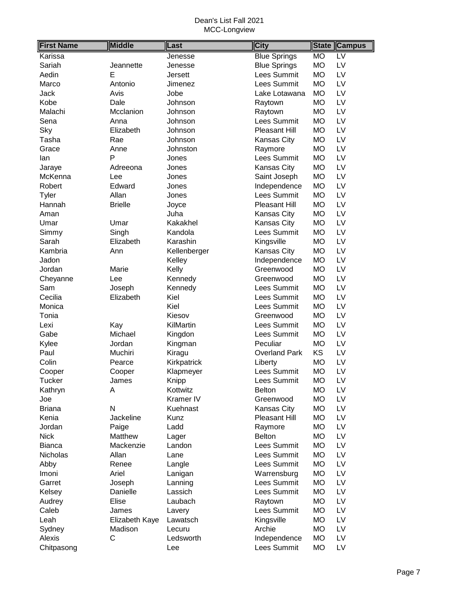| <b>Blue Springs</b><br><b>MO</b><br>$\overline{LV}$<br>Karissa<br>Jenesse<br><b>Blue Springs</b><br><b>MO</b><br>LV<br>Sariah<br>Jeannette<br>Jenesse<br>Lees Summit<br><b>MO</b><br>LV<br>Aedin<br>Е<br><b>Jersett</b><br>Lees Summit<br><b>MO</b><br>LV<br>Marco<br>Antonio<br>Jimenez<br><b>MO</b><br>LV<br>Jack<br>Avis<br>Jobe<br>Lake Lotawana<br><b>MO</b><br>LV<br>Kobe<br>Dale<br>Johnson<br>Raytown<br><b>MO</b><br>LV<br>Malachi<br>Mcclanion<br>Johnson<br>Raytown<br>Lees Summit<br><b>MO</b><br>LV<br>Sena<br>Anna<br>Johnson<br><b>MO</b><br>LV<br>Sky<br>Elizabeth<br>Johnson<br><b>Pleasant Hill</b><br><b>MO</b><br>LV<br>Tasha<br>Rae<br>Johnson<br>Kansas City<br><b>MO</b><br>LV<br>Johnston<br>Raymore<br>Grace<br>Anne<br>P<br>Lees Summit<br><b>MO</b><br>LV<br>lan<br>Jones<br><b>MO</b><br>LV<br>Adreeona<br>Kansas City<br>Jones<br>Jaraye<br><b>MO</b><br>LV<br>McKenna<br>Saint Joseph<br>Lee<br>Jones<br><b>MO</b><br>LV<br>Robert<br>Edward<br>Independence<br>Jones<br>Lees Summit<br><b>MO</b><br>Tyler<br>Allan<br>LV<br>Jones<br><b>MO</b><br>LV<br>Hannah<br><b>Brielle</b><br><b>Pleasant Hill</b><br>Joyce<br><b>MO</b><br>LV<br>Juha<br>Aman<br>Kansas City<br><b>MO</b><br>LV<br>Umar<br>Kakakhel<br>Kansas City<br>Umar<br>Lees Summit<br><b>MO</b><br>LV<br>Singh<br>Kandola<br>Simmy<br>Sarah<br><b>MO</b><br>LV<br>Elizabeth<br>Karashin<br>Kingsville<br>Kambria<br>Kansas City<br><b>MO</b><br>LV<br>Kellenberger<br>Ann<br><b>MO</b><br>LV<br>Jadon<br>Kelley<br>Independence<br><b>MO</b><br>LV<br>Jordan<br>Marie<br>Kelly<br>Greenwood<br><b>MO</b><br>LV<br>Cheyanne<br>Lee<br>Kennedy<br>Greenwood<br>Lees Summit<br><b>MO</b><br>LV<br>Sam<br>Joseph<br>Kennedy<br>Cecilia<br>Kiel<br>Lees Summit<br><b>MO</b><br>LV<br>Elizabeth<br>Kiel<br>Lees Summit<br><b>MO</b><br>LV<br>Monica<br><b>MO</b><br>LV<br>Tonia<br>Kiesov<br>Greenwood<br>Lees Summit<br><b>MO</b><br>LV<br>Kay<br>KilMartin<br>Lexi<br>Lees Summit<br><b>MO</b><br>LV<br>Gabe<br>Michael<br>Kingdon<br><b>MO</b><br>Kylee<br>Jordan<br>Peculiar<br>LV<br>Kingman<br>KS<br>LV<br>Paul<br>Muchiri<br><b>Overland Park</b><br>Kiragu<br>Colin<br><b>MO</b><br>LV<br>Pearce<br>Kirkpatrick<br>Liberty<br><b>MO</b><br>LV<br>Lees Summit<br>Klapmeyer<br>Cooper<br>Cooper<br>Lees Summit<br><b>MO</b><br>LV<br><b>Tucker</b><br>Knipp<br>James<br><b>MO</b><br>Α<br>Kottwitz<br><b>Belton</b><br>LV<br>Kathryn<br><b>MO</b><br>Joe<br>Kramer IV<br>Greenwood<br>LV<br>N<br><b>MO</b><br>LV<br><b>Briana</b><br>Kuehnast<br>Kansas City<br>LV<br>Kenia<br>Jackeline<br>Kunz<br>Pleasant Hill<br><b>MO</b><br>LV<br>Ladd<br>МO<br>Jordan<br>Paige<br>Raymore<br><b>MO</b><br>LV<br><b>Nick</b><br>Matthew<br><b>Belton</b><br>Lager<br>Lees Summit<br><b>MO</b><br>LV<br>Mackenzie<br><b>Bianca</b><br>Landon<br>Allan<br>Lees Summit<br><b>MO</b><br>LV<br>Nicholas<br>Lane<br>Lees Summit<br>LV<br><b>MO</b><br>Abby<br>Renee<br>Langle<br>Ariel<br>LV<br>Imoni<br>Warrensburg<br>МO<br>Lanigan<br>Lees Summit<br>Garret<br><b>MO</b><br>LV<br>Joseph<br>Lanning<br>Lees Summit<br><b>MO</b><br>LV<br>Danielle<br>Lassich<br>Kelsey<br>Elise<br>Laubach<br><b>MO</b><br>LV<br>Audrey<br>Raytown<br>Lees Summit<br>Caleb<br><b>MO</b><br>LV<br>James<br>Lavery<br>LV<br>Leah<br>Elizabeth Kaye<br>Kingsville<br><b>MO</b><br>Lawatsch<br><b>MO</b><br>LV<br>Sydney<br>Archie<br>Madison<br>Lecuru<br>LV<br>Alexis<br>С<br>Ledsworth<br>Independence<br><b>MO</b> | <b>First Name</b> | <b>Middle</b> | Last | <b>City</b> | <b>State</b> | <b>Campus</b> |
|------------------------------------------------------------------------------------------------------------------------------------------------------------------------------------------------------------------------------------------------------------------------------------------------------------------------------------------------------------------------------------------------------------------------------------------------------------------------------------------------------------------------------------------------------------------------------------------------------------------------------------------------------------------------------------------------------------------------------------------------------------------------------------------------------------------------------------------------------------------------------------------------------------------------------------------------------------------------------------------------------------------------------------------------------------------------------------------------------------------------------------------------------------------------------------------------------------------------------------------------------------------------------------------------------------------------------------------------------------------------------------------------------------------------------------------------------------------------------------------------------------------------------------------------------------------------------------------------------------------------------------------------------------------------------------------------------------------------------------------------------------------------------------------------------------------------------------------------------------------------------------------------------------------------------------------------------------------------------------------------------------------------------------------------------------------------------------------------------------------------------------------------------------------------------------------------------------------------------------------------------------------------------------------------------------------------------------------------------------------------------------------------------------------------------------------------------------------------------------------------------------------------------------------------------------------------------------------------------------------------------------------------------------------------------------------------------------------------------------------------------------------------------------------------------------------------------------------------------------------------------------------------------------------------------------------------------------------------------------------------------------------------------------------------------------------------------------------------------------------------------------------------------------------------------------------------------------------------------------------------------------------------------------------------------------------------------------------------------------------------------------------------------------------------------------------------------------------------------------|-------------------|---------------|------|-------------|--------------|---------------|
|                                                                                                                                                                                                                                                                                                                                                                                                                                                                                                                                                                                                                                                                                                                                                                                                                                                                                                                                                                                                                                                                                                                                                                                                                                                                                                                                                                                                                                                                                                                                                                                                                                                                                                                                                                                                                                                                                                                                                                                                                                                                                                                                                                                                                                                                                                                                                                                                                                                                                                                                                                                                                                                                                                                                                                                                                                                                                                                                                                                                                                                                                                                                                                                                                                                                                                                                                                                                                                                                                    |                   |               |      |             |              |               |
|                                                                                                                                                                                                                                                                                                                                                                                                                                                                                                                                                                                                                                                                                                                                                                                                                                                                                                                                                                                                                                                                                                                                                                                                                                                                                                                                                                                                                                                                                                                                                                                                                                                                                                                                                                                                                                                                                                                                                                                                                                                                                                                                                                                                                                                                                                                                                                                                                                                                                                                                                                                                                                                                                                                                                                                                                                                                                                                                                                                                                                                                                                                                                                                                                                                                                                                                                                                                                                                                                    |                   |               |      |             |              |               |
|                                                                                                                                                                                                                                                                                                                                                                                                                                                                                                                                                                                                                                                                                                                                                                                                                                                                                                                                                                                                                                                                                                                                                                                                                                                                                                                                                                                                                                                                                                                                                                                                                                                                                                                                                                                                                                                                                                                                                                                                                                                                                                                                                                                                                                                                                                                                                                                                                                                                                                                                                                                                                                                                                                                                                                                                                                                                                                                                                                                                                                                                                                                                                                                                                                                                                                                                                                                                                                                                                    |                   |               |      |             |              |               |
|                                                                                                                                                                                                                                                                                                                                                                                                                                                                                                                                                                                                                                                                                                                                                                                                                                                                                                                                                                                                                                                                                                                                                                                                                                                                                                                                                                                                                                                                                                                                                                                                                                                                                                                                                                                                                                                                                                                                                                                                                                                                                                                                                                                                                                                                                                                                                                                                                                                                                                                                                                                                                                                                                                                                                                                                                                                                                                                                                                                                                                                                                                                                                                                                                                                                                                                                                                                                                                                                                    |                   |               |      |             |              |               |
|                                                                                                                                                                                                                                                                                                                                                                                                                                                                                                                                                                                                                                                                                                                                                                                                                                                                                                                                                                                                                                                                                                                                                                                                                                                                                                                                                                                                                                                                                                                                                                                                                                                                                                                                                                                                                                                                                                                                                                                                                                                                                                                                                                                                                                                                                                                                                                                                                                                                                                                                                                                                                                                                                                                                                                                                                                                                                                                                                                                                                                                                                                                                                                                                                                                                                                                                                                                                                                                                                    |                   |               |      |             |              |               |
|                                                                                                                                                                                                                                                                                                                                                                                                                                                                                                                                                                                                                                                                                                                                                                                                                                                                                                                                                                                                                                                                                                                                                                                                                                                                                                                                                                                                                                                                                                                                                                                                                                                                                                                                                                                                                                                                                                                                                                                                                                                                                                                                                                                                                                                                                                                                                                                                                                                                                                                                                                                                                                                                                                                                                                                                                                                                                                                                                                                                                                                                                                                                                                                                                                                                                                                                                                                                                                                                                    |                   |               |      |             |              |               |
|                                                                                                                                                                                                                                                                                                                                                                                                                                                                                                                                                                                                                                                                                                                                                                                                                                                                                                                                                                                                                                                                                                                                                                                                                                                                                                                                                                                                                                                                                                                                                                                                                                                                                                                                                                                                                                                                                                                                                                                                                                                                                                                                                                                                                                                                                                                                                                                                                                                                                                                                                                                                                                                                                                                                                                                                                                                                                                                                                                                                                                                                                                                                                                                                                                                                                                                                                                                                                                                                                    |                   |               |      |             |              |               |
|                                                                                                                                                                                                                                                                                                                                                                                                                                                                                                                                                                                                                                                                                                                                                                                                                                                                                                                                                                                                                                                                                                                                                                                                                                                                                                                                                                                                                                                                                                                                                                                                                                                                                                                                                                                                                                                                                                                                                                                                                                                                                                                                                                                                                                                                                                                                                                                                                                                                                                                                                                                                                                                                                                                                                                                                                                                                                                                                                                                                                                                                                                                                                                                                                                                                                                                                                                                                                                                                                    |                   |               |      |             |              |               |
|                                                                                                                                                                                                                                                                                                                                                                                                                                                                                                                                                                                                                                                                                                                                                                                                                                                                                                                                                                                                                                                                                                                                                                                                                                                                                                                                                                                                                                                                                                                                                                                                                                                                                                                                                                                                                                                                                                                                                                                                                                                                                                                                                                                                                                                                                                                                                                                                                                                                                                                                                                                                                                                                                                                                                                                                                                                                                                                                                                                                                                                                                                                                                                                                                                                                                                                                                                                                                                                                                    |                   |               |      |             |              |               |
|                                                                                                                                                                                                                                                                                                                                                                                                                                                                                                                                                                                                                                                                                                                                                                                                                                                                                                                                                                                                                                                                                                                                                                                                                                                                                                                                                                                                                                                                                                                                                                                                                                                                                                                                                                                                                                                                                                                                                                                                                                                                                                                                                                                                                                                                                                                                                                                                                                                                                                                                                                                                                                                                                                                                                                                                                                                                                                                                                                                                                                                                                                                                                                                                                                                                                                                                                                                                                                                                                    |                   |               |      |             |              |               |
|                                                                                                                                                                                                                                                                                                                                                                                                                                                                                                                                                                                                                                                                                                                                                                                                                                                                                                                                                                                                                                                                                                                                                                                                                                                                                                                                                                                                                                                                                                                                                                                                                                                                                                                                                                                                                                                                                                                                                                                                                                                                                                                                                                                                                                                                                                                                                                                                                                                                                                                                                                                                                                                                                                                                                                                                                                                                                                                                                                                                                                                                                                                                                                                                                                                                                                                                                                                                                                                                                    |                   |               |      |             |              |               |
|                                                                                                                                                                                                                                                                                                                                                                                                                                                                                                                                                                                                                                                                                                                                                                                                                                                                                                                                                                                                                                                                                                                                                                                                                                                                                                                                                                                                                                                                                                                                                                                                                                                                                                                                                                                                                                                                                                                                                                                                                                                                                                                                                                                                                                                                                                                                                                                                                                                                                                                                                                                                                                                                                                                                                                                                                                                                                                                                                                                                                                                                                                                                                                                                                                                                                                                                                                                                                                                                                    |                   |               |      |             |              |               |
|                                                                                                                                                                                                                                                                                                                                                                                                                                                                                                                                                                                                                                                                                                                                                                                                                                                                                                                                                                                                                                                                                                                                                                                                                                                                                                                                                                                                                                                                                                                                                                                                                                                                                                                                                                                                                                                                                                                                                                                                                                                                                                                                                                                                                                                                                                                                                                                                                                                                                                                                                                                                                                                                                                                                                                                                                                                                                                                                                                                                                                                                                                                                                                                                                                                                                                                                                                                                                                                                                    |                   |               |      |             |              |               |
|                                                                                                                                                                                                                                                                                                                                                                                                                                                                                                                                                                                                                                                                                                                                                                                                                                                                                                                                                                                                                                                                                                                                                                                                                                                                                                                                                                                                                                                                                                                                                                                                                                                                                                                                                                                                                                                                                                                                                                                                                                                                                                                                                                                                                                                                                                                                                                                                                                                                                                                                                                                                                                                                                                                                                                                                                                                                                                                                                                                                                                                                                                                                                                                                                                                                                                                                                                                                                                                                                    |                   |               |      |             |              |               |
|                                                                                                                                                                                                                                                                                                                                                                                                                                                                                                                                                                                                                                                                                                                                                                                                                                                                                                                                                                                                                                                                                                                                                                                                                                                                                                                                                                                                                                                                                                                                                                                                                                                                                                                                                                                                                                                                                                                                                                                                                                                                                                                                                                                                                                                                                                                                                                                                                                                                                                                                                                                                                                                                                                                                                                                                                                                                                                                                                                                                                                                                                                                                                                                                                                                                                                                                                                                                                                                                                    |                   |               |      |             |              |               |
|                                                                                                                                                                                                                                                                                                                                                                                                                                                                                                                                                                                                                                                                                                                                                                                                                                                                                                                                                                                                                                                                                                                                                                                                                                                                                                                                                                                                                                                                                                                                                                                                                                                                                                                                                                                                                                                                                                                                                                                                                                                                                                                                                                                                                                                                                                                                                                                                                                                                                                                                                                                                                                                                                                                                                                                                                                                                                                                                                                                                                                                                                                                                                                                                                                                                                                                                                                                                                                                                                    |                   |               |      |             |              |               |
|                                                                                                                                                                                                                                                                                                                                                                                                                                                                                                                                                                                                                                                                                                                                                                                                                                                                                                                                                                                                                                                                                                                                                                                                                                                                                                                                                                                                                                                                                                                                                                                                                                                                                                                                                                                                                                                                                                                                                                                                                                                                                                                                                                                                                                                                                                                                                                                                                                                                                                                                                                                                                                                                                                                                                                                                                                                                                                                                                                                                                                                                                                                                                                                                                                                                                                                                                                                                                                                                                    |                   |               |      |             |              |               |
|                                                                                                                                                                                                                                                                                                                                                                                                                                                                                                                                                                                                                                                                                                                                                                                                                                                                                                                                                                                                                                                                                                                                                                                                                                                                                                                                                                                                                                                                                                                                                                                                                                                                                                                                                                                                                                                                                                                                                                                                                                                                                                                                                                                                                                                                                                                                                                                                                                                                                                                                                                                                                                                                                                                                                                                                                                                                                                                                                                                                                                                                                                                                                                                                                                                                                                                                                                                                                                                                                    |                   |               |      |             |              |               |
|                                                                                                                                                                                                                                                                                                                                                                                                                                                                                                                                                                                                                                                                                                                                                                                                                                                                                                                                                                                                                                                                                                                                                                                                                                                                                                                                                                                                                                                                                                                                                                                                                                                                                                                                                                                                                                                                                                                                                                                                                                                                                                                                                                                                                                                                                                                                                                                                                                                                                                                                                                                                                                                                                                                                                                                                                                                                                                                                                                                                                                                                                                                                                                                                                                                                                                                                                                                                                                                                                    |                   |               |      |             |              |               |
|                                                                                                                                                                                                                                                                                                                                                                                                                                                                                                                                                                                                                                                                                                                                                                                                                                                                                                                                                                                                                                                                                                                                                                                                                                                                                                                                                                                                                                                                                                                                                                                                                                                                                                                                                                                                                                                                                                                                                                                                                                                                                                                                                                                                                                                                                                                                                                                                                                                                                                                                                                                                                                                                                                                                                                                                                                                                                                                                                                                                                                                                                                                                                                                                                                                                                                                                                                                                                                                                                    |                   |               |      |             |              |               |
|                                                                                                                                                                                                                                                                                                                                                                                                                                                                                                                                                                                                                                                                                                                                                                                                                                                                                                                                                                                                                                                                                                                                                                                                                                                                                                                                                                                                                                                                                                                                                                                                                                                                                                                                                                                                                                                                                                                                                                                                                                                                                                                                                                                                                                                                                                                                                                                                                                                                                                                                                                                                                                                                                                                                                                                                                                                                                                                                                                                                                                                                                                                                                                                                                                                                                                                                                                                                                                                                                    |                   |               |      |             |              |               |
|                                                                                                                                                                                                                                                                                                                                                                                                                                                                                                                                                                                                                                                                                                                                                                                                                                                                                                                                                                                                                                                                                                                                                                                                                                                                                                                                                                                                                                                                                                                                                                                                                                                                                                                                                                                                                                                                                                                                                                                                                                                                                                                                                                                                                                                                                                                                                                                                                                                                                                                                                                                                                                                                                                                                                                                                                                                                                                                                                                                                                                                                                                                                                                                                                                                                                                                                                                                                                                                                                    |                   |               |      |             |              |               |
|                                                                                                                                                                                                                                                                                                                                                                                                                                                                                                                                                                                                                                                                                                                                                                                                                                                                                                                                                                                                                                                                                                                                                                                                                                                                                                                                                                                                                                                                                                                                                                                                                                                                                                                                                                                                                                                                                                                                                                                                                                                                                                                                                                                                                                                                                                                                                                                                                                                                                                                                                                                                                                                                                                                                                                                                                                                                                                                                                                                                                                                                                                                                                                                                                                                                                                                                                                                                                                                                                    |                   |               |      |             |              |               |
|                                                                                                                                                                                                                                                                                                                                                                                                                                                                                                                                                                                                                                                                                                                                                                                                                                                                                                                                                                                                                                                                                                                                                                                                                                                                                                                                                                                                                                                                                                                                                                                                                                                                                                                                                                                                                                                                                                                                                                                                                                                                                                                                                                                                                                                                                                                                                                                                                                                                                                                                                                                                                                                                                                                                                                                                                                                                                                                                                                                                                                                                                                                                                                                                                                                                                                                                                                                                                                                                                    |                   |               |      |             |              |               |
|                                                                                                                                                                                                                                                                                                                                                                                                                                                                                                                                                                                                                                                                                                                                                                                                                                                                                                                                                                                                                                                                                                                                                                                                                                                                                                                                                                                                                                                                                                                                                                                                                                                                                                                                                                                                                                                                                                                                                                                                                                                                                                                                                                                                                                                                                                                                                                                                                                                                                                                                                                                                                                                                                                                                                                                                                                                                                                                                                                                                                                                                                                                                                                                                                                                                                                                                                                                                                                                                                    |                   |               |      |             |              |               |
|                                                                                                                                                                                                                                                                                                                                                                                                                                                                                                                                                                                                                                                                                                                                                                                                                                                                                                                                                                                                                                                                                                                                                                                                                                                                                                                                                                                                                                                                                                                                                                                                                                                                                                                                                                                                                                                                                                                                                                                                                                                                                                                                                                                                                                                                                                                                                                                                                                                                                                                                                                                                                                                                                                                                                                                                                                                                                                                                                                                                                                                                                                                                                                                                                                                                                                                                                                                                                                                                                    |                   |               |      |             |              |               |
|                                                                                                                                                                                                                                                                                                                                                                                                                                                                                                                                                                                                                                                                                                                                                                                                                                                                                                                                                                                                                                                                                                                                                                                                                                                                                                                                                                                                                                                                                                                                                                                                                                                                                                                                                                                                                                                                                                                                                                                                                                                                                                                                                                                                                                                                                                                                                                                                                                                                                                                                                                                                                                                                                                                                                                                                                                                                                                                                                                                                                                                                                                                                                                                                                                                                                                                                                                                                                                                                                    |                   |               |      |             |              |               |
|                                                                                                                                                                                                                                                                                                                                                                                                                                                                                                                                                                                                                                                                                                                                                                                                                                                                                                                                                                                                                                                                                                                                                                                                                                                                                                                                                                                                                                                                                                                                                                                                                                                                                                                                                                                                                                                                                                                                                                                                                                                                                                                                                                                                                                                                                                                                                                                                                                                                                                                                                                                                                                                                                                                                                                                                                                                                                                                                                                                                                                                                                                                                                                                                                                                                                                                                                                                                                                                                                    |                   |               |      |             |              |               |
|                                                                                                                                                                                                                                                                                                                                                                                                                                                                                                                                                                                                                                                                                                                                                                                                                                                                                                                                                                                                                                                                                                                                                                                                                                                                                                                                                                                                                                                                                                                                                                                                                                                                                                                                                                                                                                                                                                                                                                                                                                                                                                                                                                                                                                                                                                                                                                                                                                                                                                                                                                                                                                                                                                                                                                                                                                                                                                                                                                                                                                                                                                                                                                                                                                                                                                                                                                                                                                                                                    |                   |               |      |             |              |               |
|                                                                                                                                                                                                                                                                                                                                                                                                                                                                                                                                                                                                                                                                                                                                                                                                                                                                                                                                                                                                                                                                                                                                                                                                                                                                                                                                                                                                                                                                                                                                                                                                                                                                                                                                                                                                                                                                                                                                                                                                                                                                                                                                                                                                                                                                                                                                                                                                                                                                                                                                                                                                                                                                                                                                                                                                                                                                                                                                                                                                                                                                                                                                                                                                                                                                                                                                                                                                                                                                                    |                   |               |      |             |              |               |
|                                                                                                                                                                                                                                                                                                                                                                                                                                                                                                                                                                                                                                                                                                                                                                                                                                                                                                                                                                                                                                                                                                                                                                                                                                                                                                                                                                                                                                                                                                                                                                                                                                                                                                                                                                                                                                                                                                                                                                                                                                                                                                                                                                                                                                                                                                                                                                                                                                                                                                                                                                                                                                                                                                                                                                                                                                                                                                                                                                                                                                                                                                                                                                                                                                                                                                                                                                                                                                                                                    |                   |               |      |             |              |               |
|                                                                                                                                                                                                                                                                                                                                                                                                                                                                                                                                                                                                                                                                                                                                                                                                                                                                                                                                                                                                                                                                                                                                                                                                                                                                                                                                                                                                                                                                                                                                                                                                                                                                                                                                                                                                                                                                                                                                                                                                                                                                                                                                                                                                                                                                                                                                                                                                                                                                                                                                                                                                                                                                                                                                                                                                                                                                                                                                                                                                                                                                                                                                                                                                                                                                                                                                                                                                                                                                                    |                   |               |      |             |              |               |
|                                                                                                                                                                                                                                                                                                                                                                                                                                                                                                                                                                                                                                                                                                                                                                                                                                                                                                                                                                                                                                                                                                                                                                                                                                                                                                                                                                                                                                                                                                                                                                                                                                                                                                                                                                                                                                                                                                                                                                                                                                                                                                                                                                                                                                                                                                                                                                                                                                                                                                                                                                                                                                                                                                                                                                                                                                                                                                                                                                                                                                                                                                                                                                                                                                                                                                                                                                                                                                                                                    |                   |               |      |             |              |               |
|                                                                                                                                                                                                                                                                                                                                                                                                                                                                                                                                                                                                                                                                                                                                                                                                                                                                                                                                                                                                                                                                                                                                                                                                                                                                                                                                                                                                                                                                                                                                                                                                                                                                                                                                                                                                                                                                                                                                                                                                                                                                                                                                                                                                                                                                                                                                                                                                                                                                                                                                                                                                                                                                                                                                                                                                                                                                                                                                                                                                                                                                                                                                                                                                                                                                                                                                                                                                                                                                                    |                   |               |      |             |              |               |
|                                                                                                                                                                                                                                                                                                                                                                                                                                                                                                                                                                                                                                                                                                                                                                                                                                                                                                                                                                                                                                                                                                                                                                                                                                                                                                                                                                                                                                                                                                                                                                                                                                                                                                                                                                                                                                                                                                                                                                                                                                                                                                                                                                                                                                                                                                                                                                                                                                                                                                                                                                                                                                                                                                                                                                                                                                                                                                                                                                                                                                                                                                                                                                                                                                                                                                                                                                                                                                                                                    |                   |               |      |             |              |               |
|                                                                                                                                                                                                                                                                                                                                                                                                                                                                                                                                                                                                                                                                                                                                                                                                                                                                                                                                                                                                                                                                                                                                                                                                                                                                                                                                                                                                                                                                                                                                                                                                                                                                                                                                                                                                                                                                                                                                                                                                                                                                                                                                                                                                                                                                                                                                                                                                                                                                                                                                                                                                                                                                                                                                                                                                                                                                                                                                                                                                                                                                                                                                                                                                                                                                                                                                                                                                                                                                                    |                   |               |      |             |              |               |
|                                                                                                                                                                                                                                                                                                                                                                                                                                                                                                                                                                                                                                                                                                                                                                                                                                                                                                                                                                                                                                                                                                                                                                                                                                                                                                                                                                                                                                                                                                                                                                                                                                                                                                                                                                                                                                                                                                                                                                                                                                                                                                                                                                                                                                                                                                                                                                                                                                                                                                                                                                                                                                                                                                                                                                                                                                                                                                                                                                                                                                                                                                                                                                                                                                                                                                                                                                                                                                                                                    |                   |               |      |             |              |               |
|                                                                                                                                                                                                                                                                                                                                                                                                                                                                                                                                                                                                                                                                                                                                                                                                                                                                                                                                                                                                                                                                                                                                                                                                                                                                                                                                                                                                                                                                                                                                                                                                                                                                                                                                                                                                                                                                                                                                                                                                                                                                                                                                                                                                                                                                                                                                                                                                                                                                                                                                                                                                                                                                                                                                                                                                                                                                                                                                                                                                                                                                                                                                                                                                                                                                                                                                                                                                                                                                                    |                   |               |      |             |              |               |
|                                                                                                                                                                                                                                                                                                                                                                                                                                                                                                                                                                                                                                                                                                                                                                                                                                                                                                                                                                                                                                                                                                                                                                                                                                                                                                                                                                                                                                                                                                                                                                                                                                                                                                                                                                                                                                                                                                                                                                                                                                                                                                                                                                                                                                                                                                                                                                                                                                                                                                                                                                                                                                                                                                                                                                                                                                                                                                                                                                                                                                                                                                                                                                                                                                                                                                                                                                                                                                                                                    |                   |               |      |             |              |               |
|                                                                                                                                                                                                                                                                                                                                                                                                                                                                                                                                                                                                                                                                                                                                                                                                                                                                                                                                                                                                                                                                                                                                                                                                                                                                                                                                                                                                                                                                                                                                                                                                                                                                                                                                                                                                                                                                                                                                                                                                                                                                                                                                                                                                                                                                                                                                                                                                                                                                                                                                                                                                                                                                                                                                                                                                                                                                                                                                                                                                                                                                                                                                                                                                                                                                                                                                                                                                                                                                                    |                   |               |      |             |              |               |
|                                                                                                                                                                                                                                                                                                                                                                                                                                                                                                                                                                                                                                                                                                                                                                                                                                                                                                                                                                                                                                                                                                                                                                                                                                                                                                                                                                                                                                                                                                                                                                                                                                                                                                                                                                                                                                                                                                                                                                                                                                                                                                                                                                                                                                                                                                                                                                                                                                                                                                                                                                                                                                                                                                                                                                                                                                                                                                                                                                                                                                                                                                                                                                                                                                                                                                                                                                                                                                                                                    |                   |               |      |             |              |               |
|                                                                                                                                                                                                                                                                                                                                                                                                                                                                                                                                                                                                                                                                                                                                                                                                                                                                                                                                                                                                                                                                                                                                                                                                                                                                                                                                                                                                                                                                                                                                                                                                                                                                                                                                                                                                                                                                                                                                                                                                                                                                                                                                                                                                                                                                                                                                                                                                                                                                                                                                                                                                                                                                                                                                                                                                                                                                                                                                                                                                                                                                                                                                                                                                                                                                                                                                                                                                                                                                                    |                   |               |      |             |              |               |
|                                                                                                                                                                                                                                                                                                                                                                                                                                                                                                                                                                                                                                                                                                                                                                                                                                                                                                                                                                                                                                                                                                                                                                                                                                                                                                                                                                                                                                                                                                                                                                                                                                                                                                                                                                                                                                                                                                                                                                                                                                                                                                                                                                                                                                                                                                                                                                                                                                                                                                                                                                                                                                                                                                                                                                                                                                                                                                                                                                                                                                                                                                                                                                                                                                                                                                                                                                                                                                                                                    |                   |               |      |             |              |               |
|                                                                                                                                                                                                                                                                                                                                                                                                                                                                                                                                                                                                                                                                                                                                                                                                                                                                                                                                                                                                                                                                                                                                                                                                                                                                                                                                                                                                                                                                                                                                                                                                                                                                                                                                                                                                                                                                                                                                                                                                                                                                                                                                                                                                                                                                                                                                                                                                                                                                                                                                                                                                                                                                                                                                                                                                                                                                                                                                                                                                                                                                                                                                                                                                                                                                                                                                                                                                                                                                                    |                   |               |      |             |              |               |
|                                                                                                                                                                                                                                                                                                                                                                                                                                                                                                                                                                                                                                                                                                                                                                                                                                                                                                                                                                                                                                                                                                                                                                                                                                                                                                                                                                                                                                                                                                                                                                                                                                                                                                                                                                                                                                                                                                                                                                                                                                                                                                                                                                                                                                                                                                                                                                                                                                                                                                                                                                                                                                                                                                                                                                                                                                                                                                                                                                                                                                                                                                                                                                                                                                                                                                                                                                                                                                                                                    |                   |               |      |             |              |               |
|                                                                                                                                                                                                                                                                                                                                                                                                                                                                                                                                                                                                                                                                                                                                                                                                                                                                                                                                                                                                                                                                                                                                                                                                                                                                                                                                                                                                                                                                                                                                                                                                                                                                                                                                                                                                                                                                                                                                                                                                                                                                                                                                                                                                                                                                                                                                                                                                                                                                                                                                                                                                                                                                                                                                                                                                                                                                                                                                                                                                                                                                                                                                                                                                                                                                                                                                                                                                                                                                                    |                   |               |      |             |              |               |
|                                                                                                                                                                                                                                                                                                                                                                                                                                                                                                                                                                                                                                                                                                                                                                                                                                                                                                                                                                                                                                                                                                                                                                                                                                                                                                                                                                                                                                                                                                                                                                                                                                                                                                                                                                                                                                                                                                                                                                                                                                                                                                                                                                                                                                                                                                                                                                                                                                                                                                                                                                                                                                                                                                                                                                                                                                                                                                                                                                                                                                                                                                                                                                                                                                                                                                                                                                                                                                                                                    |                   |               |      |             |              |               |
|                                                                                                                                                                                                                                                                                                                                                                                                                                                                                                                                                                                                                                                                                                                                                                                                                                                                                                                                                                                                                                                                                                                                                                                                                                                                                                                                                                                                                                                                                                                                                                                                                                                                                                                                                                                                                                                                                                                                                                                                                                                                                                                                                                                                                                                                                                                                                                                                                                                                                                                                                                                                                                                                                                                                                                                                                                                                                                                                                                                                                                                                                                                                                                                                                                                                                                                                                                                                                                                                                    |                   |               |      |             |              |               |
|                                                                                                                                                                                                                                                                                                                                                                                                                                                                                                                                                                                                                                                                                                                                                                                                                                                                                                                                                                                                                                                                                                                                                                                                                                                                                                                                                                                                                                                                                                                                                                                                                                                                                                                                                                                                                                                                                                                                                                                                                                                                                                                                                                                                                                                                                                                                                                                                                                                                                                                                                                                                                                                                                                                                                                                                                                                                                                                                                                                                                                                                                                                                                                                                                                                                                                                                                                                                                                                                                    |                   |               |      |             |              |               |
|                                                                                                                                                                                                                                                                                                                                                                                                                                                                                                                                                                                                                                                                                                                                                                                                                                                                                                                                                                                                                                                                                                                                                                                                                                                                                                                                                                                                                                                                                                                                                                                                                                                                                                                                                                                                                                                                                                                                                                                                                                                                                                                                                                                                                                                                                                                                                                                                                                                                                                                                                                                                                                                                                                                                                                                                                                                                                                                                                                                                                                                                                                                                                                                                                                                                                                                                                                                                                                                                                    |                   |               |      |             |              |               |
|                                                                                                                                                                                                                                                                                                                                                                                                                                                                                                                                                                                                                                                                                                                                                                                                                                                                                                                                                                                                                                                                                                                                                                                                                                                                                                                                                                                                                                                                                                                                                                                                                                                                                                                                                                                                                                                                                                                                                                                                                                                                                                                                                                                                                                                                                                                                                                                                                                                                                                                                                                                                                                                                                                                                                                                                                                                                                                                                                                                                                                                                                                                                                                                                                                                                                                                                                                                                                                                                                    |                   |               |      |             |              |               |
|                                                                                                                                                                                                                                                                                                                                                                                                                                                                                                                                                                                                                                                                                                                                                                                                                                                                                                                                                                                                                                                                                                                                                                                                                                                                                                                                                                                                                                                                                                                                                                                                                                                                                                                                                                                                                                                                                                                                                                                                                                                                                                                                                                                                                                                                                                                                                                                                                                                                                                                                                                                                                                                                                                                                                                                                                                                                                                                                                                                                                                                                                                                                                                                                                                                                                                                                                                                                                                                                                    |                   |               |      |             |              |               |
|                                                                                                                                                                                                                                                                                                                                                                                                                                                                                                                                                                                                                                                                                                                                                                                                                                                                                                                                                                                                                                                                                                                                                                                                                                                                                                                                                                                                                                                                                                                                                                                                                                                                                                                                                                                                                                                                                                                                                                                                                                                                                                                                                                                                                                                                                                                                                                                                                                                                                                                                                                                                                                                                                                                                                                                                                                                                                                                                                                                                                                                                                                                                                                                                                                                                                                                                                                                                                                                                                    |                   |               |      |             |              |               |
| Lees Summit<br><b>MO</b><br>LV<br>Chitpasong<br>Lee                                                                                                                                                                                                                                                                                                                                                                                                                                                                                                                                                                                                                                                                                                                                                                                                                                                                                                                                                                                                                                                                                                                                                                                                                                                                                                                                                                                                                                                                                                                                                                                                                                                                                                                                                                                                                                                                                                                                                                                                                                                                                                                                                                                                                                                                                                                                                                                                                                                                                                                                                                                                                                                                                                                                                                                                                                                                                                                                                                                                                                                                                                                                                                                                                                                                                                                                                                                                                                |                   |               |      |             |              |               |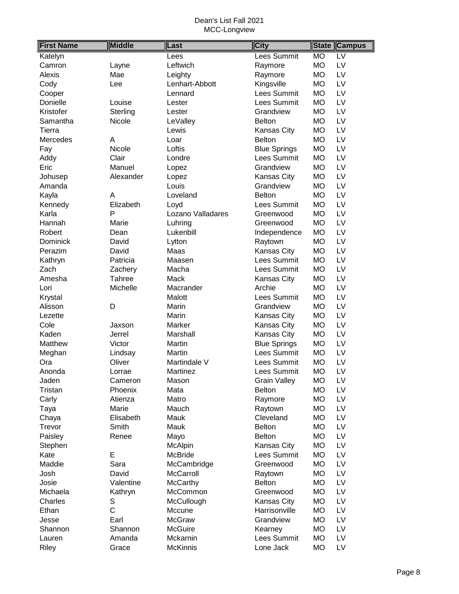| <b>First Name</b> | <b>Middle</b> | Last              | <b>City</b>         | <b>Campus</b><br><b>State</b> |
|-------------------|---------------|-------------------|---------------------|-------------------------------|
| Katelyn           |               | Lees              | Lees Summit         | <b>MO</b><br>$\overline{LV}$  |
| Camron            | Layne         | Leftwich          | Raymore             | <b>MO</b><br>LV               |
| Alexis            | Mae           | Leighty           | Raymore             | <b>MO</b><br>LV               |
| Cody              | Lee           | Lenhart-Abbott    | Kingsville          | <b>MO</b><br>LV               |
| Cooper            |               | Lennard           | Lees Summit         | <b>MO</b><br>LV               |
| Donielle          | Louise        | Lester            | Lees Summit         | LV<br><b>MO</b>               |
| Kristofer         | Sterling      | Lester            | Grandview           | <b>MO</b><br>LV               |
| Samantha          | Nicole        | LeValley          | <b>Belton</b>       | LV<br><b>MO</b>               |
| Tierra            |               | Lewis             | Kansas City         | <b>MO</b><br>LV               |
| <b>Mercedes</b>   | Α             | Loar              | <b>Belton</b>       | LV<br><b>MO</b>               |
| Fay               | Nicole        | Loftis            | <b>Blue Springs</b> | <b>MO</b><br>LV               |
| Addy              | Clair         | Londre            | Lees Summit         | LV<br><b>MO</b>               |
| Eric              | Manuel        | Lopez             | Grandview           | LV<br><b>MO</b>               |
| Johusep           | Alexander     | Lopez             | Kansas City         | LV<br><b>MO</b>               |
| Amanda            |               | Louis             | Grandview           | <b>MO</b><br>LV               |
| Kayla             | Α             | Loveland          | <b>Belton</b>       | <b>MO</b><br>LV               |
| Kennedy           | Elizabeth     | Loyd              | Lees Summit         | LV<br><b>MO</b>               |
| Karla             | P             | Lozano Valladares | Greenwood           | <b>MO</b><br>LV               |
| Hannah            | Marie         | Luhring           | Greenwood           | <b>MO</b><br>LV               |
| Robert            | Dean          | Lukenbill         | Independence        | <b>MO</b><br>LV               |
| <b>Dominick</b>   | David         | Lytton            | Raytown             | <b>MO</b><br>LV               |
| Perazim           | David         | Maas              | Kansas City         | <b>MO</b><br>LV               |
| Kathryn           | Patricia      | Maasen            | Lees Summit         | LV<br><b>MO</b>               |
| Zach              | Zachery       | Macha             | Lees Summit         | LV<br><b>MO</b>               |
| Amesha            | Tahree        | Mack              | Kansas City         | LV<br><b>MO</b>               |
| Lori              | Michelle      | Macrander         | Archie              | LV<br><b>MO</b>               |
| Krystal           |               | Malott            | Lees Summit         | LV<br><b>MO</b>               |
| Alisson           | D             | Marin             | Grandview           | LV<br><b>MO</b>               |
| Lezette           |               | Marin             | Kansas City         | LV<br><b>MO</b>               |
| Cole              | Jaxson        | Marker            | Kansas City         | LV<br><b>MO</b>               |
| Kaden             | Jerrel        | Marshall          | Kansas City         | LV<br><b>MO</b>               |
| Matthew           | Victor        | Martin            | <b>Blue Springs</b> | <b>MO</b><br>LV               |
| Meghan            | Lindsay       | Martin            | Lees Summit         | <b>MO</b><br>LV               |
| Ora               | Oliver        | Martindale V      | Lees Summit         | LV<br><b>MO</b>               |
| Anonda            | Lorrae        | Martinez          | Lees Summit         | <b>MO</b><br>LV               |
| Jaden             | Cameron       | Mason             | <b>Grain Valley</b> | <b>MO</b><br>LV               |
| Tristan           | Phoenix       | Mata              | <b>Belton</b>       | <b>MO</b><br>LV               |
| Carly             | Atienza       | Matro             | Raymore             | <b>MO</b><br>LV               |
| Taya              | Marie         | Mauch             | Raytown             | <b>MO</b><br>LV               |
| Chaya             | Elisabeth     | Mauk              | Cleveland           | LV<br><b>MO</b>               |
| Trevor            | Smith         | Mauk              | <b>Belton</b>       | <b>MO</b><br>LV               |
| Paisley           | Renee         | Mayo              | <b>Belton</b>       | LV<br><b>MO</b>               |
| Stephen           |               | McAlpin           | Kansas City         | LV<br><b>MO</b>               |
| Kate              | E             | McBride           | Lees Summit         | <b>MO</b><br>LV               |
| Maddie            | Sara          | McCambridge       | Greenwood           | LV<br><b>MO</b>               |
| Josh              | David         | McCarroll         | Raytown             | LV<br><b>MO</b>               |
| Josie             | Valentine     | <b>McCarthy</b>   | <b>Belton</b>       | LV<br><b>MO</b>               |
| Michaela          | Kathryn       | McCommon          | Greenwood           | <b>MO</b><br>LV               |
| Charles           | S             | McCullough        | Kansas City         | <b>MO</b><br>LV               |
| Ethan             | $\mathsf{C}$  | Mccune            | Harrisonville       | LV<br><b>MO</b>               |
| Jesse             | Earl          | <b>McGraw</b>     | Grandview           | LV<br><b>MO</b>               |
| Shannon           | Shannon       | <b>McGuire</b>    | Kearney             | <b>MO</b><br>LV               |
| Lauren            | Amanda        | Mckarnin          | Lees Summit         | <b>MO</b><br>LV               |
| Riley             | Grace         | <b>McKinnis</b>   | Lone Jack           | <b>MO</b><br>LV               |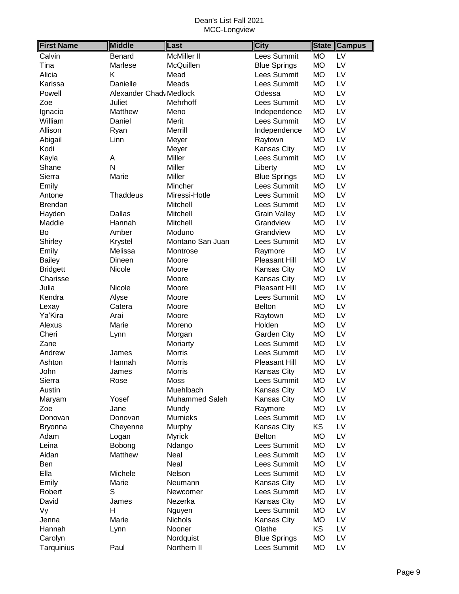| <b>First Name</b> | <b>Middle</b>           | Last                  | <b>City</b>         | <b>State</b> | <b>Campus</b>            |
|-------------------|-------------------------|-----------------------|---------------------|--------------|--------------------------|
| Calvin            | Benard                  | McMiller II           | Lees Summit         | <b>MO</b>    | $\overline{\mathsf{LV}}$ |
| Tina              | Marlese                 | McQuillen             | <b>Blue Springs</b> | <b>MO</b>    | LV                       |
| Alicia            | K                       | Mead                  | Lees Summit         | <b>MO</b>    | LV                       |
| Karissa           | Danielle                | Meads                 | Lees Summit         | <b>MO</b>    | LV                       |
| Powell            | Alexander Chadv Medlock |                       | Odessa              | <b>MO</b>    | LV                       |
| Zoe               | Juliet                  | Mehrhoff              | Lees Summit         | <b>MO</b>    | LV                       |
| Ignacio           | Matthew                 | Meno                  | Independence        | <b>MO</b>    | LV                       |
| William           | Daniel                  | Merit                 | Lees Summit         | <b>MO</b>    | LV                       |
| Allison           | Ryan                    | Merrill               | Independence        | <b>MO</b>    | LV                       |
| Abigail           | Linn                    | Meyer                 | Raytown             | <b>MO</b>    | LV                       |
| Kodi              |                         | Meyer                 | Kansas City         | <b>MO</b>    | LV                       |
| Kayla             | A                       | Miller                | Lees Summit         | <b>MO</b>    | LV                       |
| Shane             | N                       | Miller                | Liberty             | <b>MO</b>    | LV                       |
| Sierra            | Marie                   | Miller                | <b>Blue Springs</b> | <b>MO</b>    | LV                       |
| Emily             |                         | Mincher               | Lees Summit         | <b>MO</b>    | LV                       |
| Antone            | Thaddeus                | Miressi-Hotle         | Lees Summit         | <b>MO</b>    | LV                       |
| <b>Brendan</b>    |                         | Mitchell              | Lees Summit         | <b>MO</b>    | LV                       |
| Hayden            | Dallas                  | Mitchell              | <b>Grain Valley</b> | <b>MO</b>    | LV                       |
| Maddie            | Hannah                  | Mitchell              | Grandview           | <b>MO</b>    | LV                       |
| Bo                | Amber                   | Moduno                | Grandview           | <b>MO</b>    | LV                       |
| Shirley           | Krystel                 | Montano San Juan      | Lees Summit         | <b>MO</b>    | LV                       |
| Emily             | Melissa                 | Montrose              | Raymore             | <b>MO</b>    | LV                       |
| <b>Bailey</b>     | Dineen                  | Moore                 | Pleasant Hill       | <b>MO</b>    | LV                       |
| <b>Bridgett</b>   | Nicole                  | Moore                 | Kansas City         | <b>MO</b>    | LV                       |
| Charisse          |                         | Moore                 | Kansas City         | <b>MO</b>    | LV                       |
| Julia             | Nicole                  | Moore                 | Pleasant Hill       | <b>MO</b>    | LV                       |
| Kendra            | Alyse                   | Moore                 | Lees Summit         | <b>MO</b>    | LV                       |
| Lexay             | Catera                  | Moore                 | <b>Belton</b>       | <b>MO</b>    | LV                       |
| Ya'Kira           | Arai                    | Moore                 | Raytown             | <b>MO</b>    | LV                       |
| Alexus            | Marie                   | Moreno                | Holden              | <b>MO</b>    | LV                       |
| Cheri             | Lynn                    | Morgan                | Garden City         | <b>MO</b>    | LV                       |
| Zane              |                         | Moriarty              | Lees Summit         | <b>MO</b>    | LV                       |
| Andrew            | James                   | Morris                | Lees Summit         | <b>MO</b>    | LV                       |
| Ashton            | Hannah                  | <b>Morris</b>         | Pleasant Hill       | <b>MO</b>    | LV                       |
| John              | James                   | <b>Morris</b>         | <b>Kansas City</b>  | <b>MO</b>    | LV                       |
| Sierra            | Rose                    | <b>Moss</b>           | Lees Summit         | <b>MO</b>    | LV                       |
| Austin            |                         | Muehlbach             | Kansas City         | <b>MO</b>    | LV                       |
| Maryam            | Yosef                   | <b>Muhammed Saleh</b> | Kansas City         | <b>MO</b>    | LV                       |
| Zoe               | Jane                    | Mundy                 | Raymore             | <b>MO</b>    | LV                       |
| Donovan           | Donovan                 | <b>Murnieks</b>       | Lees Summit         | <b>MO</b>    | LV                       |
| <b>Bryonna</b>    | Cheyenne                | Murphy                | Kansas City         | KS           | LV                       |
| Adam              | Logan                   | <b>Myrick</b>         | <b>Belton</b>       | <b>MO</b>    | LV                       |
| Leina             | Bobong                  | Ndango                | Lees Summit         | <b>MO</b>    | LV                       |
| Aidan             | Matthew                 | Neal                  | Lees Summit         | <b>MO</b>    | LV                       |
| Ben               |                         | Neal                  | Lees Summit         | <b>MO</b>    | LV                       |
| Ella              | Michele                 | Nelson                | Lees Summit         | <b>MO</b>    | LV                       |
| Emily             | Marie                   | Neumann               | Kansas City         | <b>MO</b>    | LV                       |
| Robert            | S                       | Newcomer              | Lees Summit         | <b>MO</b>    | LV                       |
| David             | James                   | Nezerka               | Kansas City         | <b>MO</b>    | LV                       |
| Vy                | Н                       | Nguyen                | Lees Summit         | <b>MO</b>    | LV                       |
| Jenna             | Marie                   | <b>Nichols</b>        | Kansas City         | <b>MO</b>    | LV                       |
| Hannah            | Lynn                    | Nooner                | Olathe              | <b>KS</b>    | LV                       |
| Carolyn           |                         | Nordquist             | <b>Blue Springs</b> | <b>MO</b>    | LV                       |
| Tarquinius        | Paul                    | Northern II           | Lees Summit         | <b>MO</b>    | LV                       |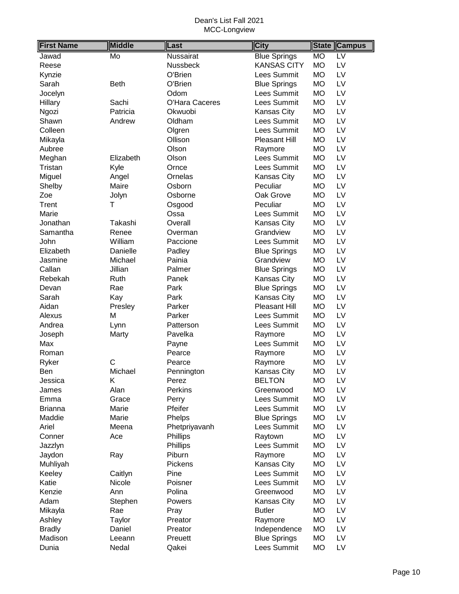| <b>First Name</b> | <b>Middle</b> | Last           | <b>City</b>         | <b>State</b> | <b>Campus</b>   |
|-------------------|---------------|----------------|---------------------|--------------|-----------------|
| Jawad             | Mo            | Nussairat      | <b>Blue Springs</b> | <b>MO</b>    | $\overline{LV}$ |
| Reese             |               | Nussbeck       | <b>KANSAS CITY</b>  | <b>MO</b>    | LV              |
| Kynzie            |               | O'Brien        | Lees Summit         | <b>MO</b>    | LV              |
| Sarah             | <b>Beth</b>   | O'Brien        | <b>Blue Springs</b> | <b>MO</b>    | LV              |
| Jocelyn           |               | Odom           | <b>Lees Summit</b>  | <b>MO</b>    | LV              |
| Hillary           | Sachi         | O'Hara Caceres | Lees Summit         | <b>MO</b>    | LV              |
| Ngozi             | Patricia      | Okwuobi        | Kansas City         | MO           | LV              |
| Shawn             | Andrew        | Oldham         | Lees Summit         | <b>MO</b>    | LV              |
| Colleen           |               | Olgren         | Lees Summit         | <b>MO</b>    | LV              |
| Mikayla           |               | Ollison        | Pleasant Hill       | <b>MO</b>    | LV              |
| Aubree            |               | Olson          | Raymore             | <b>MO</b>    | LV              |
| Meghan            | Elizabeth     | Olson          | Lees Summit         | <b>MO</b>    | LV              |
| Tristan           | Kyle          | Ornce          | Lees Summit         | <b>MO</b>    | LV              |
| Miguel            | Angel         | Ornelas        | Kansas City         | <b>MO</b>    | LV              |
| Shelby            | Maire         | Osborn         | Peculiar            | <b>MO</b>    | LV              |
| Zoe               | Jolyn         | Osborne        | Oak Grove           | <b>MO</b>    | LV              |
| Trent             | т             | Osgood         | Peculiar            | <b>MO</b>    | LV              |
| Marie             |               | Ossa           | <b>Lees Summit</b>  | <b>MO</b>    | LV              |
| Jonathan          | Takashi       | Overall        | Kansas City         | <b>MO</b>    | LV              |
| Samantha          | Renee         | Overman        | Grandview           | <b>MO</b>    | LV              |
| John              | William       | Paccione       | Lees Summit         | <b>MO</b>    | LV              |
| Elizabeth         | Danielle      | Padley         | <b>Blue Springs</b> | <b>MO</b>    | LV              |
| Jasmine           | Michael       | Painia         | Grandview           | <b>MO</b>    | LV              |
| Callan            | Jillian       | Palmer         | <b>Blue Springs</b> | MO           | LV              |
| Rebekah           | Ruth          | Panek          | Kansas City         | <b>MO</b>    | LV              |
| Devan             | Rae           | Park           | <b>Blue Springs</b> | <b>MO</b>    | LV              |
| Sarah             | Kay           | Park           | Kansas City         | <b>MO</b>    | LV              |
| Aidan             | Presley       | Parker         | Pleasant Hill       | <b>MO</b>    | LV              |
| Alexus            | M             | Parker         | Lees Summit         | МO           | LV              |
| Andrea            | Lynn          | Patterson      | Lees Summit         | <b>MO</b>    | LV              |
| Joseph            | Marty         | Pavelka        | Raymore             | <b>MO</b>    | LV              |
| Max               |               | Payne          | Lees Summit         | <b>MO</b>    | LV              |
| Roman             |               | Pearce         | Raymore             | <b>MO</b>    | LV              |
| Ryker             | C             | Pearce         | Raymore             | <b>MO</b>    | LV              |
| Ben               | Michael       | Pennington     | Kansas City         | <b>MO</b>    | LV              |
| Jessica           | Κ             | Perez          | <b>BELTON</b>       | <b>MO</b>    | LV              |
| James             | Alan          | Perkins        | Greenwood           | <b>MO</b>    | LV              |
| Emma              | Grace         | Perry          | Lees Summit         | <b>MO</b>    | LV              |
| <b>Brianna</b>    | Marie         | Pfeifer        | Lees Summit         | MO           | LV              |
| Maddie            | Marie         | Phelps         | <b>Blue Springs</b> | MO           | LV              |
| Ariel             | Meena         | Phetpriyavanh  | Lees Summit         | MO           | LV              |
| Conner            | Ace           | Phillips       | Raytown             | <b>MO</b>    | LV              |
| Jazzlyn           |               | Phillips       | Lees Summit         | <b>MO</b>    | LV              |
| Jaydon            | Ray           | Piburn         | Raymore             | <b>MO</b>    | LV              |
| Muhliyah          |               | Pickens        | Kansas City         | <b>MO</b>    | LV              |
| Keeley            | Caitlyn       | Pine           | Lees Summit         | <b>MO</b>    | LV              |
| Katie             | Nicole        | Poisner        | Lees Summit         | <b>MO</b>    | LV              |
| Kenzie            | Ann           | Polina         | Greenwood           | MO           | LV              |
| Adam              | Stephen       | Powers         | Kansas City         | <b>MO</b>    | LV              |
| Mikayla           | Rae           | Pray           | <b>Butler</b>       | MO           | LV              |
| Ashley            | Taylor        | Preator        | Raymore             | <b>MO</b>    | LV              |
| <b>Bradly</b>     | Daniel        | Preator        | Independence        | <b>MO</b>    | LV              |
| Madison           | Leeann        | Preuett        | <b>Blue Springs</b> | <b>MO</b>    | LV              |
| Dunia             | Nedal         | Qakei          | Lees Summit         | <b>MO</b>    | LV              |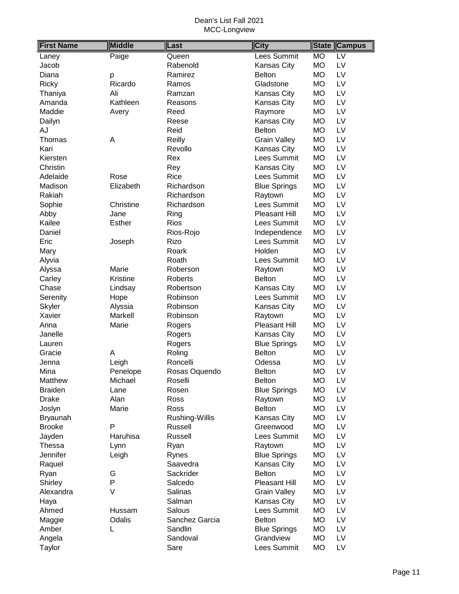| <b>First Name</b> | <b>Middle</b> | Last           | <b>City</b>         | <b>Campus</b><br><b>State</b> |
|-------------------|---------------|----------------|---------------------|-------------------------------|
| Laney             | Paige         | Queen          | Lees Summit         | <b>MO</b><br>$\overline{LV}$  |
| Jacob             |               | Rabenold       | Kansas City         | <b>MO</b><br>LV               |
| Diana             | p             | Ramirez        | <b>Belton</b>       | <b>MO</b><br>LV               |
| Ricky             | Ricardo       | Ramos          | Gladstone           | <b>MO</b><br>LV               |
| Thaniya           | Ali           | Ramzan         | Kansas City         | <b>MO</b><br>LV               |
| Amanda            | Kathleen      | Reasons        | Kansas City         | LV<br>MO                      |
| Maddie            | Avery         | Reed           | Raymore             | LV<br>MO                      |
| Dailyn            |               | Reese          | <b>Kansas City</b>  | LV<br>MO                      |
| ΑJ                |               | Reid           | <b>Belton</b>       | LV<br><b>MO</b>               |
| Thomas            | A             | Reilly         | <b>Grain Valley</b> | <b>MO</b><br>LV               |
| Kari              |               | Revollo        | Kansas City         | LV<br><b>MO</b>               |
| Kiersten          |               | Rex            | Lees Summit         | <b>MO</b><br>LV               |
| Christin          |               | Rey            | Kansas City         | <b>MO</b><br>LV               |
| Adelaide          | Rose          | Rice           | Lees Summit         | <b>MO</b><br>LV               |
| Madison           | Elizabeth     | Richardson     | <b>Blue Springs</b> | LV<br>MO                      |
| Rakiah            |               | Richardson     | Raytown             | LV<br>MO                      |
| Sophie            | Christine     | Richardson     | Lees Summit         | <b>MO</b><br>LV               |
| Abby              | Jane          | Ring           | Pleasant Hill       | <b>MO</b><br>LV               |
| Kailee            | <b>Esther</b> | <b>Rios</b>    | Lees Summit         | <b>MO</b><br>LV               |
| Daniel            |               | Rios-Rojo      | Independence        | <b>MO</b><br>LV               |
| Eric              | Joseph        | Rizo           | Lees Summit         | <b>MO</b><br>LV               |
| Mary              |               | Roark          | Holden              | <b>MO</b><br>LV               |
| Alyvia            |               | Roath          | Lees Summit         | LV<br><b>MO</b>               |
| Alyssa            | Marie         | Roberson       | Raytown             | LV<br><b>MO</b>               |
| Carley            | Kristine      | Roberts        | <b>Belton</b>       | <b>MO</b><br>LV               |
| Chase             | Lindsay       | Robertson      | Kansas City         | LV<br><b>MO</b>               |
| Serenity          | Hope          | Robinson       | Lees Summit         | LV<br><b>MO</b>               |
| Skyler            | Alyssia       | Robinson       | Kansas City         | LV<br><b>MO</b>               |
| Xavier            | Markell       | Robinson       | Raytown             | <b>MO</b><br>LV               |
| Anna              | Marie         | Rogers         | Pleasant Hill       | <b>MO</b><br>LV               |
| Janelle           |               | Rogers         | Kansas City         | LV<br>MO                      |
| Lauren            |               | Rogers         | <b>Blue Springs</b> | LV<br><b>MO</b>               |
| Gracie            | A             | Roling         | <b>Belton</b>       | LV<br>МO                      |
| Jenna             | Leigh         | Roncelli       | Odessa              | LV<br>МO                      |
| Mina              | Penelope      | Rosas Oquendo  | <b>Belton</b>       | <b>MO</b><br>LV               |
| Matthew           | Michael       | Roselli        | <b>Belton</b>       | <b>MO</b><br>LV               |
| <b>Braiden</b>    | Lane          | Rosen          | <b>Blue Springs</b> | <b>MO</b><br>LV               |
| <b>Drake</b>      | Alan          | Ross           | Raytown             | <b>MO</b><br>LV               |
| Joslyn            | Marie         | Ross           | <b>Belton</b>       | LV<br>MO                      |
| <b>Bryaunah</b>   |               | Rushing-Willis | Kansas City         | LV<br><b>MO</b>               |
| <b>Brooke</b>     | P             | Russell        | Greenwood           | LV<br>МO                      |
| Jayden            | Haruhisa      | Russell        | Lees Summit         | LV<br><b>MO</b>               |
| Thessa            | Lynn          | Ryan           | Raytown             | LV<br>МO                      |
| Jennifer          | Leigh         | Rynes          | <b>Blue Springs</b> | <b>MO</b><br>LV               |
| Raquel            |               | Saavedra       | Kansas City         | LV<br>МO                      |
| Ryan              | G             | Sackrider      | <b>Belton</b>       | LV<br>MO                      |
| Shirley           | P             | Salcedo        | Pleasant Hill       | LV<br>MO                      |
| Alexandra         | $\vee$        | Salinas        | <b>Grain Valley</b> | LV<br>MO                      |
| Haya              |               | Salman         | Kansas City         | LV<br>MO                      |
| Ahmed             | Hussam        | Salous         | Lees Summit         | LV<br>MO                      |
| Maggie            | Odalis        | Sanchez Garcia | <b>Belton</b>       | LV<br>MO                      |
| Amber             | L             | Sandlin        | <b>Blue Springs</b> | <b>MO</b><br>LV               |
| Angela            |               | Sandoval       | Grandview           | LV<br><b>MO</b>               |
| Taylor            |               | Sare           | Lees Summit         | <b>MO</b><br>LV               |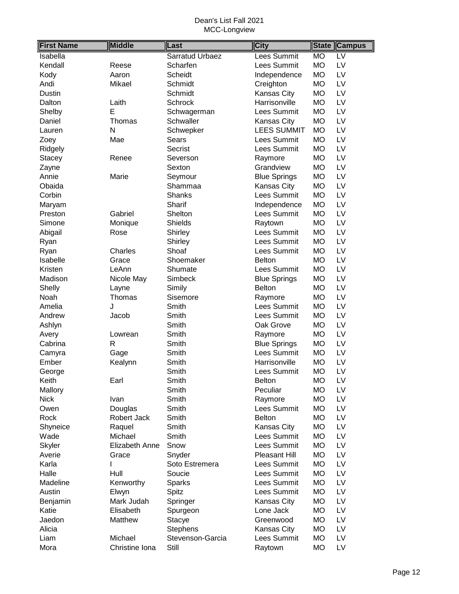| <b>First Name</b> | <b>Middle</b>  | Last             | <b>City</b>         | <b>State</b> | <b>Campus</b>            |
|-------------------|----------------|------------------|---------------------|--------------|--------------------------|
| Isabella          |                | Sarratud Urbaez  | Lees Summit         | <b>MO</b>    | $\overline{\mathsf{LV}}$ |
| Kendall           | Reese          | Scharfen         | Lees Summit         | <b>MO</b>    | LV                       |
| Kody              | Aaron          | Scheidt          | Independence        | <b>MO</b>    | LV                       |
| Andi              | Mikael         | Schmidt          | Creighton           | <b>MO</b>    | LV                       |
| Dustin            |                | Schmidt          | Kansas City         | <b>MO</b>    | LV                       |
| Dalton            | Laith          | Schrock          | Harrisonville       | <b>MO</b>    | LV                       |
| Shelby            | E              | Schwagerman      | Lees Summit         | <b>MO</b>    | LV                       |
| Daniel            | Thomas         | Schwaller        | Kansas City         | <b>MO</b>    | LV                       |
| Lauren            | N              | Schwepker        | <b>LEES SUMMIT</b>  | <b>MO</b>    | LV                       |
| Zoey              | Mae            | Sears            | Lees Summit         | <b>MO</b>    | LV                       |
| Ridgely           |                | Secrist          | Lees Summit         | <b>MO</b>    | LV                       |
| <b>Stacey</b>     | Renee          | Severson         | Raymore             | <b>MO</b>    | LV                       |
| Zayne             |                | Sexton           | Grandview           | <b>MO</b>    | LV                       |
| Annie             | Marie          | Seymour          | <b>Blue Springs</b> | <b>MO</b>    | LV                       |
| Obaida            |                | Shammaa          | Kansas City         | <b>MO</b>    | LV                       |
| Corbin            |                | <b>Shanks</b>    | Lees Summit         | <b>MO</b>    | LV                       |
| Maryam            |                | Sharif           | Independence        | <b>MO</b>    | LV                       |
| Preston           | Gabriel        | Shelton          | Lees Summit         | <b>MO</b>    | LV                       |
| Simone            | Monique        | Shields          | Raytown             | <b>MO</b>    | LV                       |
| Abigail           | Rose           | Shirley          | Lees Summit         | <b>MO</b>    | LV                       |
| Ryan              |                | Shirley          | <b>Lees Summit</b>  | <b>MO</b>    | LV                       |
| Ryan              | Charles        | Shoaf            | Lees Summit         | <b>MO</b>    | LV                       |
| Isabelle          | Grace          | Shoemaker        | <b>Belton</b>       | <b>MO</b>    | LV                       |
| Kristen           | LeAnn          | Shumate          | Lees Summit         | <b>MO</b>    | LV                       |
| Madison           | Nicole May     | Simbeck          | <b>Blue Springs</b> | <b>MO</b>    | LV                       |
| Shelly            | Layne          | Simily           | <b>Belton</b>       | <b>MO</b>    | LV                       |
| Noah              | Thomas         | Sisemore         | Raymore             | <b>MO</b>    | LV                       |
| Amelia            | J              | Smith            | Lees Summit         | <b>MO</b>    | LV                       |
| Andrew            | Jacob          | Smith            | Lees Summit         | <b>MO</b>    | LV                       |
| Ashlyn            |                | Smith            | Oak Grove           | <b>MO</b>    | LV                       |
| Avery             | Lowrean        | Smith            | Raymore             | <b>MO</b>    | LV                       |
| Cabrina           | R              | Smith            | <b>Blue Springs</b> | <b>MO</b>    | LV                       |
| Camyra            | Gage           | Smith            | Lees Summit         | <b>MO</b>    | LV                       |
| Ember             | Kealynn        | Smith            | Harrisonville       | <b>MO</b>    | LV                       |
| George            |                | Smith            | Lees Summit         | <b>MO</b>    | LV                       |
| Keith             | Earl           | Smith            | <b>Belton</b>       | <b>MO</b>    | LV                       |
| Mallory           |                | Smith            | Peculiar            | <b>MO</b>    | LV                       |
| <b>Nick</b>       | Ivan           | Smith            | Raymore             | <b>MO</b>    | LV                       |
| Owen              | Douglas        | Smith            | Lees Summit         | <b>MO</b>    | LV                       |
| Rock              | Robert Jack    | Smith            | <b>Belton</b>       | <b>MO</b>    | LV                       |
| Shyneice          | Raquel         | Smith            | Kansas City         | <b>MO</b>    | LV                       |
| Wade              | Michael        | Smith            | Lees Summit         | <b>MO</b>    | LV                       |
| Skyler            | Elizabeth Anne | Snow             | Lees Summit         | <b>MO</b>    | LV                       |
| Averie            | Grace          | Snyder           | Pleasant Hill       | MO           | LV                       |
| Karla             |                | Soto Estremera   | Lees Summit         | MO           | LV                       |
| Halle             | Hull           | Soucie           | Lees Summit         | <b>MO</b>    | LV                       |
| Madeline          | Kenworthy      | Sparks           | Lees Summit         | <b>MO</b>    | LV                       |
| Austin            | Elwyn          | Spitz            | Lees Summit         | <b>MO</b>    | LV                       |
| Benjamin          | Mark Judah     | Springer         | Kansas City         | <b>MO</b>    | LV                       |
| Katie             | Elisabeth      | Spurgeon         | Lone Jack           | <b>MO</b>    | LV                       |
| Jaedon            | Matthew        | Stacye           | Greenwood           | <b>MO</b>    | LV                       |
| Alicia            |                | <b>Stephens</b>  | Kansas City         | <b>MO</b>    | LV                       |
| Liam              | Michael        | Stevenson-Garcia | Lees Summit         | <b>MO</b>    | LV                       |
| Mora              | Christine Iona | Still            | Raytown             | <b>MO</b>    | LV                       |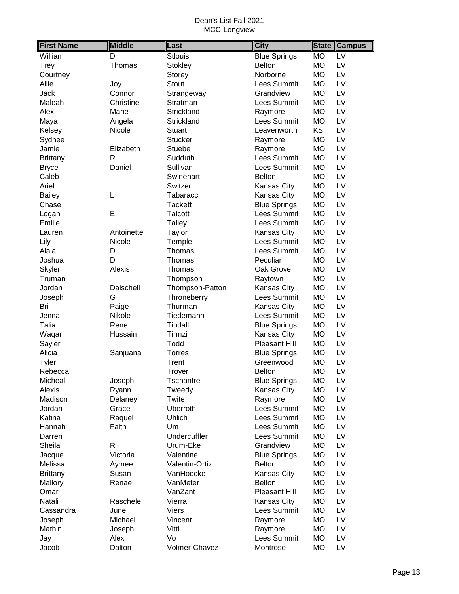| <b>First Name</b> | <b>Middle</b> | Last            | <b>City</b>          | State     | <b>Campus</b>   |
|-------------------|---------------|-----------------|----------------------|-----------|-----------------|
| William           | D             | <b>Stlouis</b>  | <b>Blue Springs</b>  | <b>MO</b> | $\overline{LV}$ |
| Trey              | Thomas        | <b>Stokley</b>  | <b>Belton</b>        | <b>MO</b> | LV              |
| Courtney          |               | Storey          | Norborne             | <b>MO</b> | LV              |
| Allie             | Joy           | <b>Stout</b>    | Lees Summit          | <b>MO</b> | LV              |
| Jack              | Connor        | Strangeway      | Grandview            | <b>MO</b> | LV              |
| Maleah            | Christine     | Stratman        | Lees Summit          | <b>MO</b> | LV              |
| Alex              | Marie         | Strickland      | Raymore              | <b>MO</b> | LV              |
| Maya              | Angela        | Strickland      | Lees Summit          | <b>MO</b> | LV              |
| Kelsey            | Nicole        | <b>Stuart</b>   | Leavenworth          | KS        | LV              |
| Sydnee            |               | <b>Stucker</b>  | Raymore              | <b>MO</b> | LV              |
| Jamie             | Elizabeth     | Stuebe          | Raymore              | <b>MO</b> | LV              |
| <b>Brittany</b>   | R             | Sudduth         | Lees Summit          | <b>MO</b> | LV              |
| <b>Bryce</b>      | Daniel        | Sullivan        | Lees Summit          | <b>MO</b> | LV              |
| Caleb             |               | Swinehart       | <b>Belton</b>        | <b>MO</b> | LV              |
| Ariel             |               | Switzer         | Kansas City          | <b>MO</b> | LV              |
| <b>Bailey</b>     | L             | Tabaracci       | Kansas City          | <b>MO</b> | LV              |
| Chase             |               | <b>Tackett</b>  | <b>Blue Springs</b>  | <b>MO</b> | LV              |
| Logan             | E             | Talcott         | Lees Summit          | <b>MO</b> | LV              |
| Emilie            |               | <b>Talley</b>   | Lees Summit          | <b>MO</b> | LV              |
| Lauren            | Antoinette    | Taylor          | Kansas City          | <b>MO</b> | LV              |
| Lily              | Nicole        | Temple          | Lees Summit          | <b>MO</b> | LV              |
| Alala             | D             | Thomas          | Lees Summit          | <b>MO</b> | LV              |
| Joshua            | D             | Thomas          | Peculiar             | <b>MO</b> | LV              |
| Skyler            | Alexis        | Thomas          | Oak Grove            | <b>MO</b> | LV              |
| Truman            |               | Thompson        | Raytown              | <b>MO</b> | LV              |
| Jordan            | Daischell     | Thompson-Patton | Kansas City          | <b>MO</b> | LV              |
| Joseph            | G             | Throneberry     | Lees Summit          | <b>MO</b> | LV              |
| Bri               | Paige         | Thurman         | Kansas City          | <b>MO</b> | LV              |
| Jenna             | Nikole        | Tiedemann       | Lees Summit          | <b>MO</b> | LV              |
| Talia             | Rene          | Tindall         | <b>Blue Springs</b>  | <b>MO</b> | LV              |
| Waqar             | Hussain       | Tirmzi          | Kansas City          | <b>MO</b> | LV              |
| Sayler            |               | Todd            | Pleasant Hill        | <b>MO</b> | LV              |
| Alicia            | Sanjuana      | <b>Torres</b>   | <b>Blue Springs</b>  | <b>MO</b> | LV              |
| Tyler             |               | Trent           | Greenwood            | <b>MO</b> | LV              |
| Rebecca           |               | Troyer          | <b>Belton</b>        | <b>MO</b> | LV              |
| Micheal           | Joseph        | Tschantre       | <b>Blue Springs</b>  | <b>MO</b> | LV              |
| Alexis            | Ryann         | Tweedy          | Kansas City          | <b>MO</b> | LV              |
| Madison           | Delaney       | Twite           | Raymore              | <b>MO</b> | LV              |
| Jordan            | Grace         | Uberroth        | Lees Summit          | <b>MO</b> | LV              |
| Katina            | Raquel        | Uhlich          | Lees Summit          | <b>MO</b> | LV              |
| Hannah            | Faith         | Um              | Lees Summit          | <b>MO</b> | LV              |
| Darren            |               | Undercuffler    | Lees Summit          | <b>MO</b> | LV              |
| Sheila            | $\mathsf{R}$  | Urum-Eke        | Grandview            | <b>MO</b> | LV              |
| Jacque            | Victoria      | Valentine       | <b>Blue Springs</b>  | <b>MO</b> | LV              |
| Melissa           | Aymee         | Valentin-Ortiz  | <b>Belton</b>        | <b>MO</b> | LV              |
| <b>Brittany</b>   | Susan         | VanHoecke       | Kansas City          | <b>MO</b> | LV              |
| Mallory           | Renae         | VanMeter        | <b>Belton</b>        | <b>MO</b> | LV              |
| Omar              |               | VanZant         | <b>Pleasant Hill</b> | <b>MO</b> | LV              |
| Natali            | Raschele      | Vierra          | Kansas City          | <b>MO</b> | LV              |
| Cassandra         | June          | <b>Viers</b>    | Lees Summit          | <b>MO</b> | LV              |
| Joseph            | Michael       | Vincent         | Raymore              | <b>MO</b> | LV              |
| Mathin            | Joseph        | Vitti           | Raymore              | <b>MO</b> | LV              |
| Jay               | Alex          | Vo              | Lees Summit          | <b>MO</b> | LV              |
| Jacob             | Dalton        | Volmer-Chavez   | Montrose             | <b>MO</b> | LV              |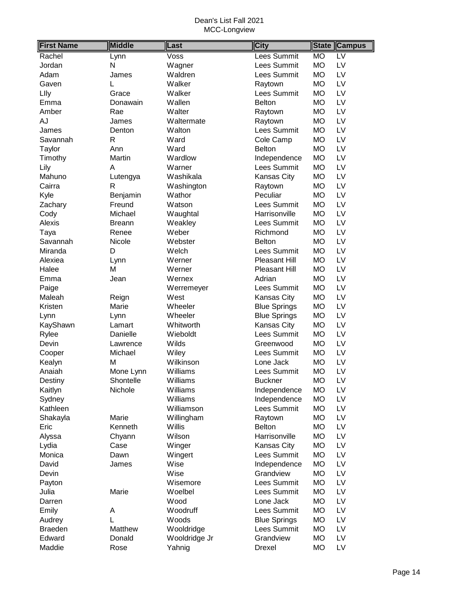| <b>First Name</b> | <b>Middle</b> | Last          | <b>City</b>          | <b>State</b> | <b>Campus</b>   |
|-------------------|---------------|---------------|----------------------|--------------|-----------------|
| Rachel            | Lynn          | Voss          | Lees Summit          | <b>MO</b>    | $\overline{LV}$ |
| Jordan            | N             | Wagner        | Lees Summit          | <b>MO</b>    | LV              |
| Adam              | James         | Waldren       | Lees Summit          | <b>MO</b>    | LV              |
| Gaven             | L             | Walker        | Raytown              | <b>MO</b>    | LV              |
| Llly              | Grace         | Walker        | Lees Summit          | <b>MO</b>    | LV              |
| Emma              | Donawain      | Wallen        | <b>Belton</b>        | <b>MO</b>    | LV              |
| Amber             | Rae           | Walter        | Raytown              | <b>MO</b>    | LV              |
| AJ                | James         | Waltermate    | Raytown              | <b>MO</b>    | LV              |
| James             | Denton        | Walton        | Lees Summit          | <b>MO</b>    | LV              |
| Savannah          | R             | Ward          | Cole Camp            | <b>MO</b>    | LV              |
| Taylor            | Ann           | Ward          | <b>Belton</b>        | <b>MO</b>    | LV              |
| Timothy           | Martin        | Wardlow       | Independence         | <b>MO</b>    | LV              |
| Lily              | A             | Warner        | Lees Summit          | <b>MO</b>    | LV              |
| Mahuno            | Lutengya      | Washikala     | Kansas City          | <b>MO</b>    | LV              |
| Cairra            | R             | Washington    | Raytown              | <b>MO</b>    | LV              |
| Kyle              | Benjamin      | Wathor        | Peculiar             | <b>MO</b>    | LV              |
| Zachary           | Freund        | Watson        | Lees Summit          | <b>MO</b>    | LV              |
| Cody              | Michael       | Waughtal      | Harrisonville        | <b>MO</b>    | LV              |
| Alexis            | <b>Breann</b> | Weakley       | Lees Summit          | <b>MO</b>    | LV              |
| Taya              | Renee         | Weber         | Richmond             | <b>MO</b>    | LV              |
| Savannah          | Nicole        | Webster       | <b>Belton</b>        | <b>MO</b>    | LV              |
| Miranda           | D             | Welch         | Lees Summit          | <b>MO</b>    | LV              |
| Alexiea           | Lynn          | Werner        | Pleasant Hill        | <b>MO</b>    | LV              |
| Halee             | M             | Werner        | <b>Pleasant Hill</b> | <b>MO</b>    | LV              |
| Emma              | Jean          | Wernex        | Adrian               | <b>MO</b>    | LV              |
| Paige             |               | Werremeyer    | Lees Summit          | <b>MO</b>    | LV              |
| Maleah            | Reign         | West          | Kansas City          | <b>MO</b>    | LV              |
| Kristen           | Marie         | Wheeler       | <b>Blue Springs</b>  | <b>MO</b>    | LV              |
| Lynn              | Lynn          | Wheeler       | <b>Blue Springs</b>  | <b>MO</b>    | LV              |
| KayShawn          | Lamart        | Whitworth     | Kansas City          | <b>MO</b>    | LV              |
| Rylee             | Danielle      | Wieboldt      | Lees Summit          | <b>MO</b>    | LV              |
| Devin             | Lawrence      | Wilds         | Greenwood            | <b>MO</b>    | LV              |
| Cooper            | Michael       | Wiley         | Lees Summit          | <b>MO</b>    | LV              |
| Kealyn            | Μ             | Wilkinson     | Lone Jack            | <b>MO</b>    | LV              |
| Anaiah            | Mone Lynn     | Williams      | Lees Summit          | <b>MO</b>    | LV              |
| Destiny           | Shontelle     | Williams      | <b>Buckner</b>       | <b>MO</b>    | LV              |
| Kaitlyn           | Nichole       | Williams      | Independence         | <b>MO</b>    | LV              |
| Sydney            |               | Williams      | Independence         | <b>MO</b>    | LV              |
| Kathleen          |               | Williamson    | Lees Summit          | <b>MO</b>    | LV              |
| Shakayla          | Marie         | Willingham    | Raytown              | <b>MO</b>    | LV              |
| Eric              | Kenneth       | Willis        | <b>Belton</b>        | <b>MO</b>    | LV              |
| Alyssa            | Chyann        | Wilson        | Harrisonville        | <b>MO</b>    | LV              |
| Lydia             | Case          | Winger        | Kansas City          | <b>MO</b>    | LV              |
| Monica            | Dawn          | Wingert       | Lees Summit          | <b>MO</b>    | LV              |
| David             | James         | Wise          | Independence         | MO           | LV              |
| Devin             |               | Wise          | Grandview            | <b>MO</b>    | LV              |
| Payton            |               | Wisemore      | Lees Summit          | <b>MO</b>    | LV              |
| Julia             | Marie         | Woelbel       | Lees Summit          | <b>MO</b>    | LV              |
| Darren            |               | Wood          | Lone Jack            | <b>MO</b>    | LV              |
| Emily             | A             | Woodruff      | Lees Summit          | <b>MO</b>    | LV              |
| Audrey            | L             | Woods         | <b>Blue Springs</b>  | <b>MO</b>    | LV              |
| <b>Braeden</b>    | Matthew       | Wooldridge    | Lees Summit          | <b>MO</b>    | LV              |
| Edward            | Donald        | Wooldridge Jr | Grandview            | <b>MO</b>    | LV              |
| Maddie            | Rose          | Yahnig        | Drexel               | <b>MO</b>    | LV              |